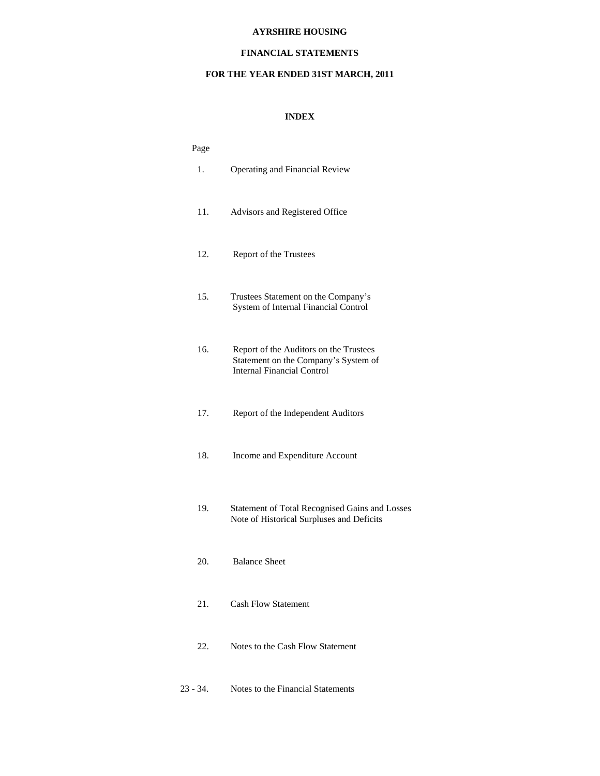## **FINANCIAL STATEMENTS**

# **FOR THE YEAR ENDED 31ST MARCH, 2011**

## **INDEX**

# Page

| 1.         | Operating and Financial Review                                                                                      |
|------------|---------------------------------------------------------------------------------------------------------------------|
| 11.        | Advisors and Registered Office                                                                                      |
| 12.        | Report of the Trustees                                                                                              |
| 15.        | Trustees Statement on the Company's<br>System of Internal Financial Control                                         |
| 16.        | Report of the Auditors on the Trustees<br>Statement on the Company's System of<br><b>Internal Financial Control</b> |
| 17.        | Report of the Independent Auditors                                                                                  |
| 18.        | Income and Expenditure Account                                                                                      |
| 19.        | Statement of Total Recognised Gains and Losses<br>Note of Historical Surpluses and Deficits                         |
| 20.        | <b>Balance Sheet</b>                                                                                                |
| 21.        | <b>Cash Flow Statement</b>                                                                                          |
| 22.        | Notes to the Cash Flow Statement                                                                                    |
| $23 - 34.$ | Notes to the Financial Statements                                                                                   |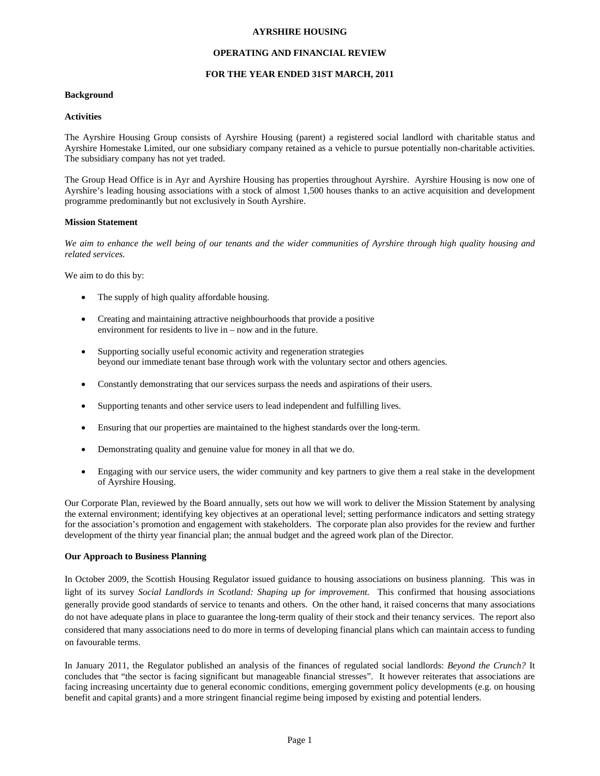### **OPERATING AND FINANCIAL REVIEW**

### **FOR THE YEAR ENDED 31ST MARCH, 2011**

#### **Background**

### **Activities**

The Ayrshire Housing Group consists of Ayrshire Housing (parent) a registered social landlord with charitable status and Ayrshire Homestake Limited, our one subsidiary company retained as a vehicle to pursue potentially non-charitable activities. The subsidiary company has not yet traded.

The Group Head Office is in Ayr and Ayrshire Housing has properties throughout Ayrshire. Ayrshire Housing is now one of Ayrshire's leading housing associations with a stock of almost 1,500 houses thanks to an active acquisition and development programme predominantly but not exclusively in South Ayrshire.

### **Mission Statement**

*We aim to enhance the well being of our tenants and the wider communities of Ayrshire through high quality housing and related services.* 

We aim to do this by:

- The supply of high quality affordable housing.
- Creating and maintaining attractive neighbourhoods that provide a positive environment for residents to live in – now and in the future.
- Supporting socially useful economic activity and regeneration strategies beyond our immediate tenant base through work with the voluntary sector and others agencies.
- Constantly demonstrating that our services surpass the needs and aspirations of their users.
- Supporting tenants and other service users to lead independent and fulfilling lives.
- Ensuring that our properties are maintained to the highest standards over the long-term.
- Demonstrating quality and genuine value for money in all that we do.
- Engaging with our service users, the wider community and key partners to give them a real stake in the development of Ayrshire Housing.

Our Corporate Plan, reviewed by the Board annually, sets out how we will work to deliver the Mission Statement by analysing the external environment; identifying key objectives at an operational level; setting performance indicators and setting strategy for the association's promotion and engagement with stakeholders. The corporate plan also provides for the review and further development of the thirty year financial plan; the annual budget and the agreed work plan of the Director.

### **Our Approach to Business Planning**

In October 2009, the Scottish Housing Regulator issued guidance to housing associations on business planning. This was in light of its survey *Social Landlords in Scotland: Shaping up for improvement*. This confirmed that housing associations generally provide good standards of service to tenants and others. On the other hand, it raised concerns that many associations do not have adequate plans in place to guarantee the long-term quality of their stock and their tenancy services. The report also considered that many associations need to do more in terms of developing financial plans which can maintain access to funding on favourable terms.

In January 2011, the Regulator published an analysis of the finances of regulated social landlords: *Beyond the Crunch?* It concludes that "the sector is facing significant but manageable financial stresses". It however reiterates that associations are facing increasing uncertainty due to general economic conditions, emerging government policy developments (e.g. on housing benefit and capital grants) and a more stringent financial regime being imposed by existing and potential lenders.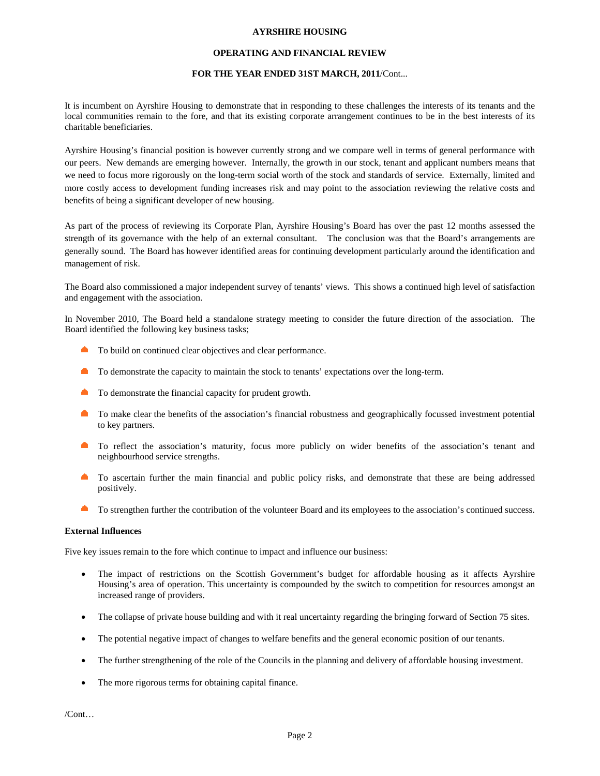### **OPERATING AND FINANCIAL REVIEW**

### **FOR THE YEAR ENDED 31ST MARCH, 2011**/Cont...

It is incumbent on Ayrshire Housing to demonstrate that in responding to these challenges the interests of its tenants and the local communities remain to the fore, and that its existing corporate arrangement continues to be in the best interests of its charitable beneficiaries.

Ayrshire Housing's financial position is however currently strong and we compare well in terms of general performance with our peers. New demands are emerging however. Internally, the growth in our stock, tenant and applicant numbers means that we need to focus more rigorously on the long-term social worth of the stock and standards of service. Externally, limited and more costly access to development funding increases risk and may point to the association reviewing the relative costs and benefits of being a significant developer of new housing.

As part of the process of reviewing its Corporate Plan, Ayrshire Housing's Board has over the past 12 months assessed the strength of its governance with the help of an external consultant. The conclusion was that the Board's arrangements are generally sound. The Board has however identified areas for continuing development particularly around the identification and management of risk.

The Board also commissioned a major independent survey of tenants' views. This shows a continued high level of satisfaction and engagement with the association.

In November 2010, The Board held a standalone strategy meeting to consider the future direction of the association. The Board identified the following key business tasks;

- To build on continued clear objectives and clear performance.  $\triangle$
- To demonstrate the capacity to maintain the stock to tenants' expectations over the long-term.  $\blacktriangle$
- To demonstrate the financial capacity for prudent growth.
- $\triangle$ To make clear the benefits of the association's financial robustness and geographically focussed investment potential to key partners.
- Δ. To reflect the association's maturity, focus more publicly on wider benefits of the association's tenant and neighbourhood service strengths.
- To ascertain further the main financial and public policy risks, and demonstrate that these are being addressed positively.
- $\blacktriangle$ To strengthen further the contribution of the volunteer Board and its employees to the association's continued success.

### **External Influences**

Five key issues remain to the fore which continue to impact and influence our business:

- The impact of restrictions on the Scottish Government's budget for affordable housing as it affects Ayrshire Housing's area of operation. This uncertainty is compounded by the switch to competition for resources amongst an increased range of providers.
- The collapse of private house building and with it real uncertainty regarding the bringing forward of Section 75 sites.
- The potential negative impact of changes to welfare benefits and the general economic position of our tenants.
- The further strengthening of the role of the Councils in the planning and delivery of affordable housing investment.
- The more rigorous terms for obtaining capital finance.

/Cont…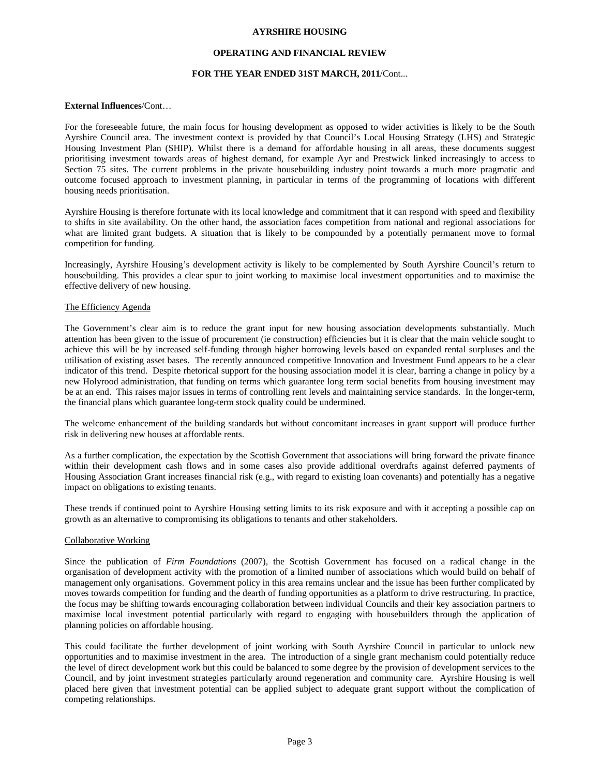### **OPERATING AND FINANCIAL REVIEW**

### **FOR THE YEAR ENDED 31ST MARCH, 2011**/Cont...

### **External Influences**/Cont…

For the foreseeable future, the main focus for housing development as opposed to wider activities is likely to be the South Ayrshire Council area. The investment context is provided by that Council's Local Housing Strategy (LHS) and Strategic Housing Investment Plan (SHIP). Whilst there is a demand for affordable housing in all areas, these documents suggest prioritising investment towards areas of highest demand, for example Ayr and Prestwick linked increasingly to access to Section 75 sites. The current problems in the private housebuilding industry point towards a much more pragmatic and outcome focused approach to investment planning, in particular in terms of the programming of locations with different housing needs prioritisation.

Ayrshire Housing is therefore fortunate with its local knowledge and commitment that it can respond with speed and flexibility to shifts in site availability. On the other hand, the association faces competition from national and regional associations for what are limited grant budgets. A situation that is likely to be compounded by a potentially permanent move to formal competition for funding.

Increasingly, Ayrshire Housing's development activity is likely to be complemented by South Ayrshire Council's return to housebuilding. This provides a clear spur to joint working to maximise local investment opportunities and to maximise the effective delivery of new housing.

### The Efficiency Agenda

The Government's clear aim is to reduce the grant input for new housing association developments substantially. Much attention has been given to the issue of procurement (ie construction) efficiencies but it is clear that the main vehicle sought to achieve this will be by increased self-funding through higher borrowing levels based on expanded rental surpluses and the utilisation of existing asset bases. The recently announced competitive Innovation and Investment Fund appears to be a clear indicator of this trend. Despite rhetorical support for the housing association model it is clear, barring a change in policy by a new Holyrood administration, that funding on terms which guarantee long term social benefits from housing investment may be at an end. This raises major issues in terms of controlling rent levels and maintaining service standards. In the longer-term, the financial plans which guarantee long-term stock quality could be undermined.

The welcome enhancement of the building standards but without concomitant increases in grant support will produce further risk in delivering new houses at affordable rents.

As a further complication, the expectation by the Scottish Government that associations will bring forward the private finance within their development cash flows and in some cases also provide additional overdrafts against deferred payments of Housing Association Grant increases financial risk (e.g., with regard to existing loan covenants) and potentially has a negative impact on obligations to existing tenants.

These trends if continued point to Ayrshire Housing setting limits to its risk exposure and with it accepting a possible cap on growth as an alternative to compromising its obligations to tenants and other stakeholders.

#### Collaborative Working

Since the publication of *Firm Foundations* (2007), the Scottish Government has focused on a radical change in the organisation of development activity with the promotion of a limited number of associations which would build on behalf of management only organisations. Government policy in this area remains unclear and the issue has been further complicated by moves towards competition for funding and the dearth of funding opportunities as a platform to drive restructuring. In practice, the focus may be shifting towards encouraging collaboration between individual Councils and their key association partners to maximise local investment potential particularly with regard to engaging with housebuilders through the application of planning policies on affordable housing.

This could facilitate the further development of joint working with South Ayrshire Council in particular to unlock new opportunities and to maximise investment in the area. The introduction of a single grant mechanism could potentially reduce the level of direct development work but this could be balanced to some degree by the provision of development services to the Council, and by joint investment strategies particularly around regeneration and community care. Ayrshire Housing is well placed here given that investment potential can be applied subject to adequate grant support without the complication of competing relationships.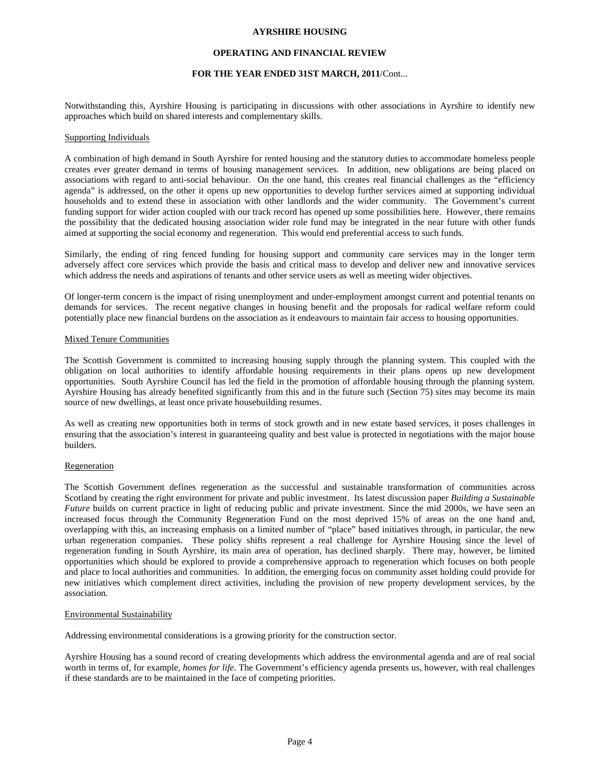### **OPERATING AND FINANCIAL REVIEW**

### **FOR THE YEAR ENDED 31ST MARCH, 2011**/Cont...

Notwithstanding this, Ayrshire Housing is participating in discussions with other associations in Ayrshire to identify new approaches which build on shared interests and complementary skills.

#### Supporting Individuals

A combination of high demand in South Ayrshire for rented housing and the statutory duties to accommodate homeless people creates ever greater demand in terms of housing management services. In addition, new obligations are being placed on associations with regard to anti-social behaviour. On the one hand, this creates real financial challenges as the "efficiency agenda" is addressed, on the other it opens up new opportunities to develop further services aimed at supporting individual households and to extend these in association with other landlords and the wider community. The Government's current funding support for wider action coupled with our track record has opened up some possibilities here. However, there remains the possibility that the dedicated housing association wider role fund may be integrated in the near future with other funds aimed at supporting the social economy and regeneration. This would end preferential access to such funds.

Similarly, the ending of ring fenced funding for housing support and community care services may in the longer term adversely affect core services which provide the basis and critical mass to develop and deliver new and innovative services which address the needs and aspirations of tenants and other service users as well as meeting wider objectives.

Of longer-term concern is the impact of rising unemployment and under-employment amongst current and potential tenants on demands for services. The recent negative changes in housing benefit and the proposals for radical welfare reform could potentially place new financial burdens on the association as it endeavours to maintain fair access to housing opportunities.

### Mixed Tenure Communities

The Scottish Government is committed to increasing housing supply through the planning system. This coupled with the obligation on local authorities to identify affordable housing requirements in their plans opens up new development opportunities. South Ayrshire Council has led the field in the promotion of affordable housing through the planning system. Ayrshire Housing has already benefited significantly from this and in the future such (Section 75) sites may become its main source of new dwellings, at least once private housebuilding resumes.

As well as creating new opportunities both in terms of stock growth and in new estate based services, it poses challenges in ensuring that the association's interest in guaranteeing quality and best value is protected in negotiations with the major house builders.

#### Regeneration

The Scottish Government defines regeneration as the successful and sustainable transformation of communities across Scotland by creating the right environment for private and public investment. Its latest discussion paper *Building a Sustainable Future* builds on current practice in light of reducing public and private investment. Since the mid 2000s, we have seen an increased focus through the Community Regeneration Fund on the most deprived 15% of areas on the one hand and, overlapping with this, an increasing emphasis on a limited number of "place" based initiatives through, in particular, the new urban regeneration companies. These policy shifts represent a real challenge for Ayrshire Housing since the level of regeneration funding in South Ayrshire, its main area of operation, has declined sharply. There may, however, be limited opportunities which should be explored to provide a comprehensive approach to regeneration which focuses on both people and place to local authorities and communities. In addition, the emerging focus on community asset holding could provide for new initiatives which complement direct activities, including the provision of new property development services, by the association.

#### Environmental Sustainability

Addressing environmental considerations is a growing priority for the construction sector.

Ayrshire Housing has a sound record of creating developments which address the environmental agenda and are of real social worth in terms of, for example, *homes for life*. The Government's efficiency agenda presents us, however, with real challenges if these standards are to be maintained in the face of competing priorities.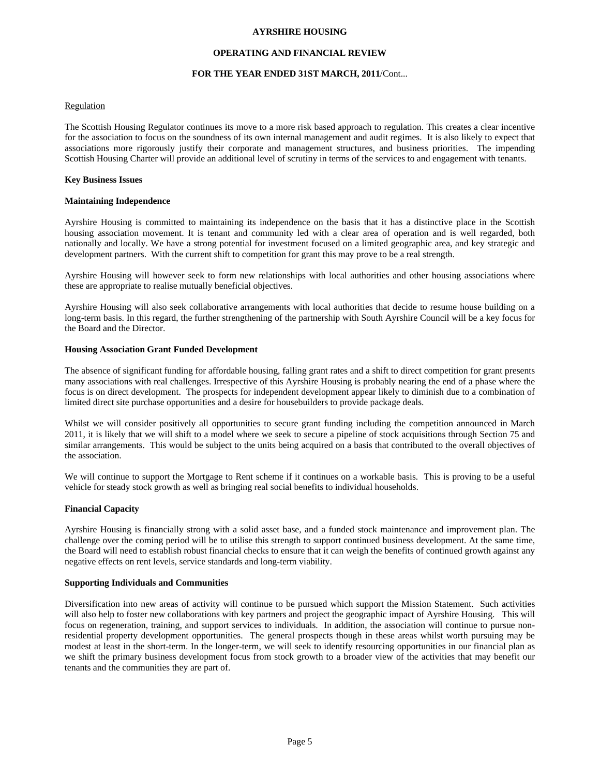### **OPERATING AND FINANCIAL REVIEW**

### **FOR THE YEAR ENDED 31ST MARCH, 2011**/Cont...

### Regulation

The Scottish Housing Regulator continues its move to a more risk based approach to regulation. This creates a clear incentive for the association to focus on the soundness of its own internal management and audit regimes. It is also likely to expect that associations more rigorously justify their corporate and management structures, and business priorities. The impending Scottish Housing Charter will provide an additional level of scrutiny in terms of the services to and engagement with tenants.

### **Key Business Issues**

#### **Maintaining Independence**

Ayrshire Housing is committed to maintaining its independence on the basis that it has a distinctive place in the Scottish housing association movement. It is tenant and community led with a clear area of operation and is well regarded, both nationally and locally. We have a strong potential for investment focused on a limited geographic area, and key strategic and development partners. With the current shift to competition for grant this may prove to be a real strength.

Ayrshire Housing will however seek to form new relationships with local authorities and other housing associations where these are appropriate to realise mutually beneficial objectives.

Ayrshire Housing will also seek collaborative arrangements with local authorities that decide to resume house building on a long-term basis. In this regard, the further strengthening of the partnership with South Ayrshire Council will be a key focus for the Board and the Director.

#### **Housing Association Grant Funded Development**

The absence of significant funding for affordable housing, falling grant rates and a shift to direct competition for grant presents many associations with real challenges. Irrespective of this Ayrshire Housing is probably nearing the end of a phase where the focus is on direct development. The prospects for independent development appear likely to diminish due to a combination of limited direct site purchase opportunities and a desire for housebuilders to provide package deals.

Whilst we will consider positively all opportunities to secure grant funding including the competition announced in March 2011, it is likely that we will shift to a model where we seek to secure a pipeline of stock acquisitions through Section 75 and similar arrangements. This would be subject to the units being acquired on a basis that contributed to the overall objectives of the association.

We will continue to support the Mortgage to Rent scheme if it continues on a workable basis. This is proving to be a useful vehicle for steady stock growth as well as bringing real social benefits to individual households.

### **Financial Capacity**

Ayrshire Housing is financially strong with a solid asset base, and a funded stock maintenance and improvement plan. The challenge over the coming period will be to utilise this strength to support continued business development. At the same time, the Board will need to establish robust financial checks to ensure that it can weigh the benefits of continued growth against any negative effects on rent levels, service standards and long-term viability.

### **Supporting Individuals and Communities**

Diversification into new areas of activity will continue to be pursued which support the Mission Statement. Such activities will also help to foster new collaborations with key partners and project the geographic impact of Ayrshire Housing. This will focus on regeneration, training, and support services to individuals. In addition, the association will continue to pursue nonresidential property development opportunities. The general prospects though in these areas whilst worth pursuing may be modest at least in the short-term. In the longer-term, we will seek to identify resourcing opportunities in our financial plan as we shift the primary business development focus from stock growth to a broader view of the activities that may benefit our tenants and the communities they are part of.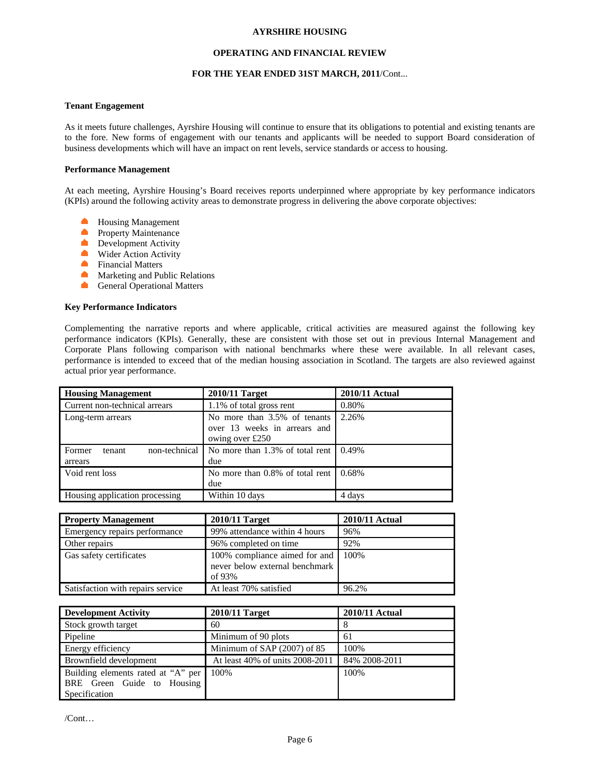### **OPERATING AND FINANCIAL REVIEW**

### **FOR THE YEAR ENDED 31ST MARCH, 2011**/Cont...

### **Tenant Engagement**

As it meets future challenges, Ayrshire Housing will continue to ensure that its obligations to potential and existing tenants are to the fore. New forms of engagement with our tenants and applicants will be needed to support Board consideration of business developments which will have an impact on rent levels, service standards or access to housing.

### **Performance Management**

At each meeting, Ayrshire Housing's Board receives reports underpinned where appropriate by key performance indicators (KPIs) around the following activity areas to demonstrate progress in delivering the above corporate objectives:

- Housing Management
- $\blacktriangle$ Property Maintenance
- $\triangle$ Development Activity
- $\triangle$ Wider Action Activity
- $\triangle$  . Financial Matters
- $\triangle$ Marketing and Public Relations
- General Operational Matters

### **Key Performance Indicators**

Complementing the narrative reports and where applicable, critical activities are measured against the following key performance indicators (KPIs). Generally, these are consistent with those set out in previous Internal Management and Corporate Plans following comparison with national benchmarks where these were available. In all relevant cases, performance is intended to exceed that of the median housing association in Scotland. The targets are also reviewed against actual prior year performance.

| <b>Housing Management</b>                      | 2010/11 Target                                                                  | <b>2010/11 Actual</b> |
|------------------------------------------------|---------------------------------------------------------------------------------|-----------------------|
| Current non-technical arrears                  | 1.1% of total gross rent                                                        | 0.80%                 |
| Long-term arrears                              | No more than 3.5% of tenants<br>over 13 weeks in arrears and<br>owing over £250 | 2.26%                 |
| $non-technical$<br>Former<br>tenant<br>arrears | No more than 1.3% of total rent<br>due                                          | $0.49\%$              |
| Void rent loss                                 | No more than $0.8\%$ of total rent $\vert 0.68\% \vert$<br>due                  |                       |
| Housing application processing                 | Within 10 days                                                                  | 4 days                |

| <b>Property Management</b>        | 2010/11 Target                                                            | <b>2010/11 Actual</b> |
|-----------------------------------|---------------------------------------------------------------------------|-----------------------|
| Emergency repairs performance     | 99% attendance within 4 hours                                             | 96%                   |
| Other repairs                     | 96% completed on time                                                     | 92%                   |
| Gas safety certificates           | 100% compliance aimed for and<br>never below external benchmark<br>of 93% | 100\%                 |
| Satisfaction with repairs service | At least 70% satisfied                                                    | 96.2%                 |

| <b>Development Activity</b>                                                       | 2010/11 Target                  | <b>2010/11 Actual</b> |
|-----------------------------------------------------------------------------------|---------------------------------|-----------------------|
| Stock growth target                                                               | 60                              |                       |
| Pipeline                                                                          | Minimum of 90 plots             | 61                    |
| Energy efficiency                                                                 | Minimum of SAP $(2007)$ of 85   | 100%                  |
| Brownfield development                                                            | At least 40% of units 2008-2011 | 84% 2008-2011         |
| Building elements rated at "A" per<br>BRE Green Guide to Housing<br>Specification | 100\%                           | 100\%                 |

/Cont…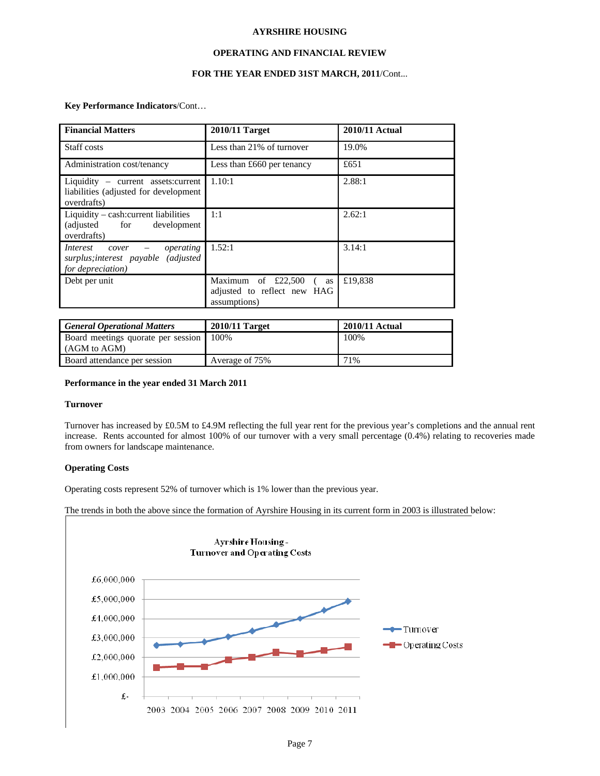### **OPERATING AND FINANCIAL REVIEW**

### **FOR THE YEAR ENDED 31ST MARCH, 2011**/Cont...

| Key Performance Indicators/Cont |  |
|---------------------------------|--|
|---------------------------------|--|

| <b>Financial Matters</b>                                                                       | 2010/11 Target                                                                   | <b>2010/11 Actual</b> |
|------------------------------------------------------------------------------------------------|----------------------------------------------------------------------------------|-----------------------|
| Staff costs                                                                                    | Less than 21% of turnover                                                        | 19.0%                 |
| Administration cost/tenancy                                                                    | Less than $£660$ per tenancy                                                     | £651                  |
| $Liquidity$ – current assets: current<br>liabilities (adjusted for development)<br>overdrafts) | 1.10:1                                                                           | 2.88:1                |
| Liquidity – cash: current liabilities<br>(adjusted for<br>development<br>overdrafts)           | 1:1                                                                              | 2.62:1                |
| operating<br>Interest cover –<br>surplus; interest payable (adjusted<br>for depreciation)      | 1.52:1                                                                           | 3.14:1                |
| Debt per unit                                                                                  | Maximum of $£22,500$<br>$\int$ as<br>adjusted to reflect new HAG<br>assumptions) | £19,838               |

| <b>General Operational Matters</b>      | 2010/11 Target | 2010/11 Actual |
|-----------------------------------------|----------------|----------------|
| Board meetings quorate per session 100% |                | 100%           |
| (AGM to AGM)                            |                |                |
| Board attendance per session            | Average of 75% | 71%            |

### **Performance in the year ended 31 March 2011**

### **Turnover**

Turnover has increased by £0.5M to £4.9M reflecting the full year rent for the previous year's completions and the annual rent increase. Rents accounted for almost 100% of our turnover with a very small percentage (0.4%) relating to recoveries made from owners for landscape maintenance.

### **Operating Costs**

Operating costs represent 52% of turnover which is 1% lower than the previous year.

The trends in both the above since the formation of Ayrshire Housing in its current form in 2003 is illustrated below:

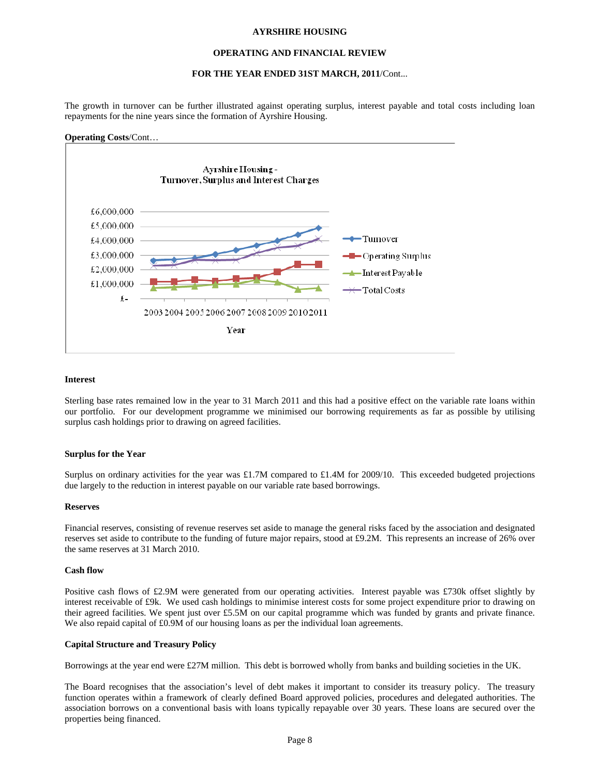### **OPERATING AND FINANCIAL REVIEW**

### **FOR THE YEAR ENDED 31ST MARCH, 2011**/Cont...

The growth in turnover can be further illustrated against operating surplus, interest payable and total costs including loan repayments for the nine years since the formation of Ayrshire Housing.





#### **Interest**

Sterling base rates remained low in the year to 31 March 2011 and this had a positive effect on the variable rate loans within our portfolio. For our development programme we minimised our borrowing requirements as far as possible by utilising surplus cash holdings prior to drawing on agreed facilities.

#### **Surplus for the Year**

Surplus on ordinary activities for the year was £1.7M compared to £1.4M for 2009/10. This exceeded budgeted projections due largely to the reduction in interest payable on our variable rate based borrowings.

#### **Reserves**

Financial reserves, consisting of revenue reserves set aside to manage the general risks faced by the association and designated reserves set aside to contribute to the funding of future major repairs, stood at £9.2M. This represents an increase of 26% over the same reserves at 31 March 2010.

#### **Cash flow**

Positive cash flows of £2.9M were generated from our operating activities. Interest payable was £730k offset slightly by interest receivable of £9k. We used cash holdings to minimise interest costs for some project expenditure prior to drawing on their agreed facilities. We spent just over £5.5M on our capital programme which was funded by grants and private finance. We also repaid capital of £0.9M of our housing loans as per the individual loan agreements.

#### **Capital Structure and Treasury Policy**

Borrowings at the year end were £27M million. This debt is borrowed wholly from banks and building societies in the UK.

The Board recognises that the association's level of debt makes it important to consider its treasury policy. The treasury function operates within a framework of clearly defined Board approved policies, procedures and delegated authorities. The association borrows on a conventional basis with loans typically repayable over 30 years. These loans are secured over the properties being financed.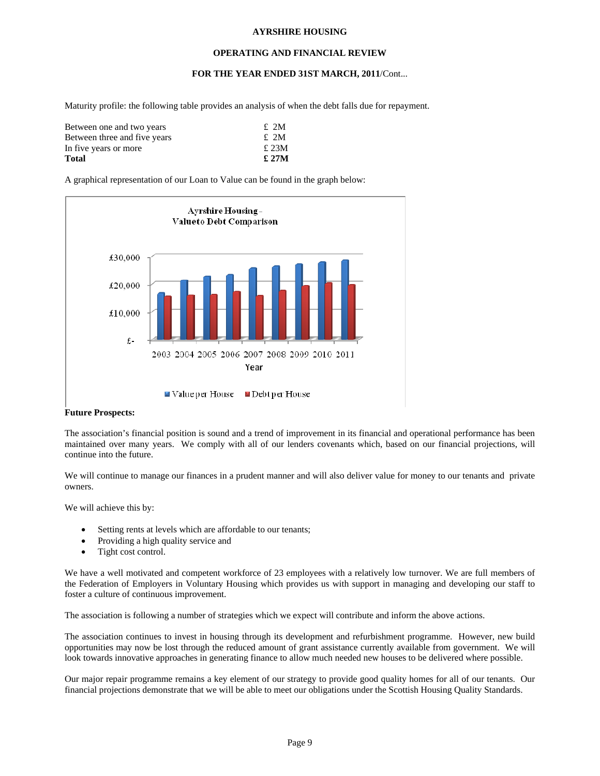### **OPERATING AND FINANCIAL REVIEW**

### **FOR THE YEAR ENDED 31ST MARCH, 2011**/Cont...

Maturity profile: the following table provides an analysis of when the debt falls due for repayment.

| Between one and two years    | f.2M          |
|------------------------------|---------------|
| Between three and five years | £2M           |
| In five years or more        | £ 23M         |
| <b>Total</b>                 | $\pounds 27M$ |

A graphical representation of our Loan to Value can be found in the graph below:



### **Future Prospects:**

The association's financial position is sound and a trend of improvement in its financial and operational performance has been maintained over many years. We comply with all of our lenders covenants which, based on our financial projections, will continue into the future.

We will continue to manage our finances in a prudent manner and will also deliver value for money to our tenants and private owners.

We will achieve this by:

- Setting rents at levels which are affordable to our tenants;
- Providing a high quality service and
- Tight cost control.

We have a well motivated and competent workforce of 23 employees with a relatively low turnover. We are full members of the Federation of Employers in Voluntary Housing which provides us with support in managing and developing our staff to foster a culture of continuous improvement.

The association is following a number of strategies which we expect will contribute and inform the above actions.

The association continues to invest in housing through its development and refurbishment programme. However, new build opportunities may now be lost through the reduced amount of grant assistance currently available from government. We will look towards innovative approaches in generating finance to allow much needed new houses to be delivered where possible.

Our major repair programme remains a key element of our strategy to provide good quality homes for all of our tenants. Our financial projections demonstrate that we will be able to meet our obligations under the Scottish Housing Quality Standards.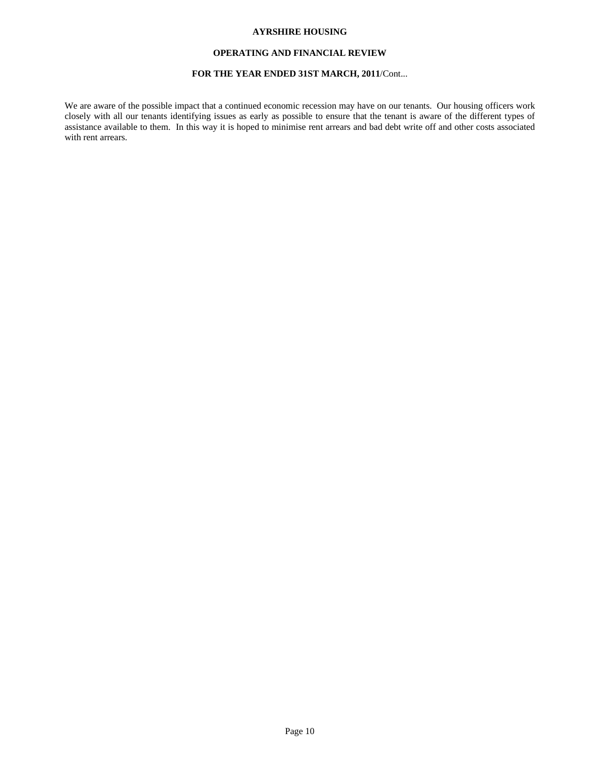### **OPERATING AND FINANCIAL REVIEW**

### **FOR THE YEAR ENDED 31ST MARCH, 2011**/Cont...

We are aware of the possible impact that a continued economic recession may have on our tenants. Our housing officers work closely with all our tenants identifying issues as early as possible to ensure that the tenant is aware of the different types of assistance available to them. In this way it is hoped to minimise rent arrears and bad debt write off and other costs associated with rent arrears.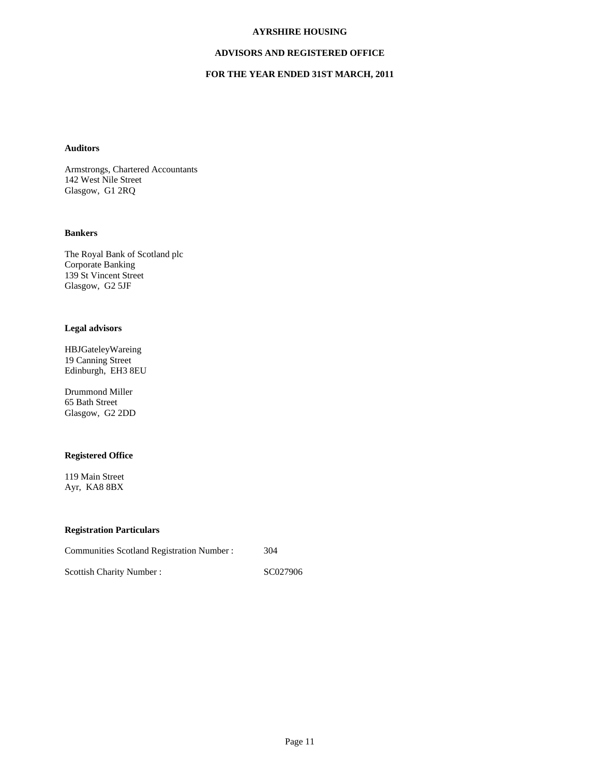### **ADVISORS AND REGISTERED OFFICE**

### **FOR THE YEAR ENDED 31ST MARCH, 2011**

### **Auditors**

Armstrongs, Chartered Accountants 142 West Nile Street Glasgow, G1 2RQ

### **Bankers**

The Royal Bank of Scotland plc Corporate Banking 139 St Vincent Street Glasgow, G2 5JF

### **Legal advisors**

HBJGateleyWareing 19 Canning Street Edinburgh, EH3 8EU

Drummond Miller 65 Bath Street Glasgow, G2 2DD

### **Registered Office**

119 Main Street Ayr, KA8 8BX

### **Registration Particulars**

Communities Scotland Registration Number : 304

Scottish Charity Number : SC027906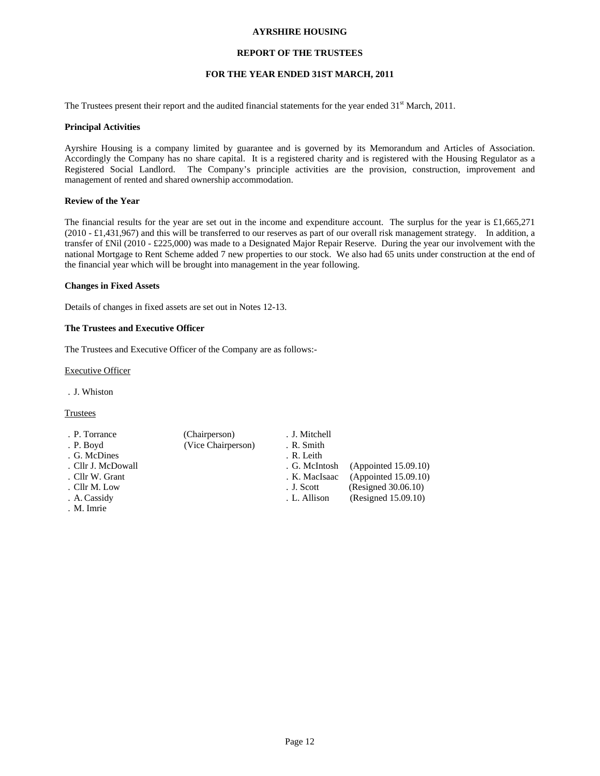### **REPORT OF THE TRUSTEES**

### **FOR THE YEAR ENDED 31ST MARCH, 2011**

The Trustees present their report and the audited financial statements for the year ended 31<sup>st</sup> March, 2011.

### **Principal Activities**

Ayrshire Housing is a company limited by guarantee and is governed by its Memorandum and Articles of Association. Accordingly the Company has no share capital. It is a registered charity and is registered with the Housing Regulator as a Registered Social Landlord. The Company's principle activities are the provision, construction, improvement and management of rented and shared ownership accommodation.

### **Review of the Year**

The financial results for the year are set out in the income and expenditure account. The surplus for the year is £1,665,271 (2010 - £1,431,967) and this will be transferred to our reserves as part of our overall risk management strategy. In addition, a transfer of £Nil (2010 - £225,000) was made to a Designated Major Repair Reserve. During the year our involvement with the national Mortgage to Rent Scheme added 7 new properties to our stock. We also had 65 units under construction at the end of the financial year which will be brought into management in the year following.

### **Changes in Fixed Assets**

Details of changes in fixed assets are set out in Notes 12-13.

### **The Trustees and Executive Officer**

The Trustees and Executive Officer of the Company are as follows:-

Executive Officer

. J. Whiston

**Trustees** 

| . P. Torrance      | (Chairperson)      | . J. Mitchell |                         |
|--------------------|--------------------|---------------|-------------------------|
| . P. Boyd          | (Vice Chairperson) | . R. Smith    |                         |
| . G. McDines       |                    | . R. Leith    |                         |
| . Cllr J. McDowall |                    | . G. McIntosh | (Appointed 15.09.10)    |
| . Cllr W. Grant    |                    | . K. MacIsaac | (Appointed $15.09.10$ ) |
| . Cllr M. Low      |                    | . J. Scott    | (Resigned 30.06.10)     |
| . A. Cassidy       |                    | . L. Allison  | (Resigned 15.09.10)     |
| . M. Imrie         |                    |               |                         |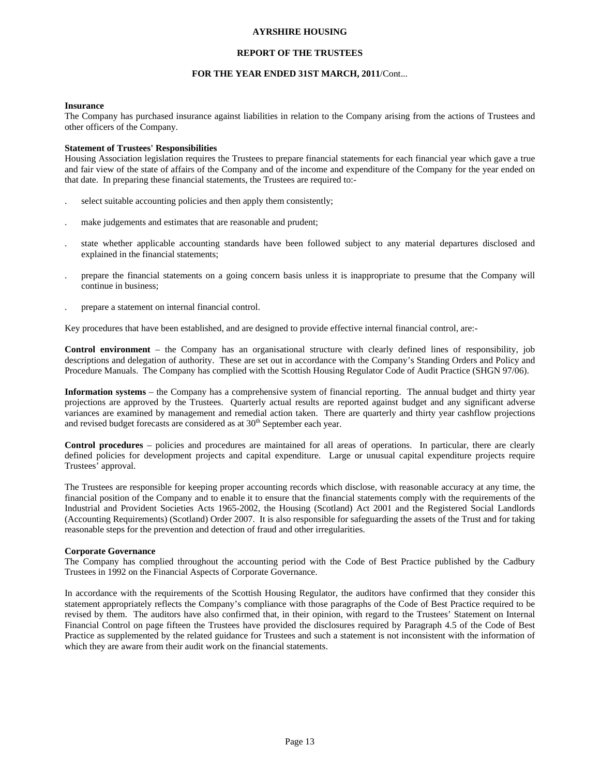### **REPORT OF THE TRUSTEES**

### **FOR THE YEAR ENDED 31ST MARCH, 2011**/Cont...

#### **Insurance**

The Company has purchased insurance against liabilities in relation to the Company arising from the actions of Trustees and other officers of the Company.

#### **Statement of Trustees' Responsibilities**

Housing Association legislation requires the Trustees to prepare financial statements for each financial year which gave a true and fair view of the state of affairs of the Company and of the income and expenditure of the Company for the year ended on that date. In preparing these financial statements, the Trustees are required to:-

- . select suitable accounting policies and then apply them consistently;
- . make judgements and estimates that are reasonable and prudent;
- . state whether applicable accounting standards have been followed subject to any material departures disclosed and explained in the financial statements;
- . prepare the financial statements on a going concern basis unless it is inappropriate to presume that the Company will continue in business;
- . prepare a statement on internal financial control.

Key procedures that have been established, and are designed to provide effective internal financial control, are:-

**Control environment** – the Company has an organisational structure with clearly defined lines of responsibility, job descriptions and delegation of authority. These are set out in accordance with the Company's Standing Orders and Policy and Procedure Manuals. The Company has complied with the Scottish Housing Regulator Code of Audit Practice (SHGN 97/06).

**Information systems** – the Company has a comprehensive system of financial reporting. The annual budget and thirty year projections are approved by the Trustees. Quarterly actual results are reported against budget and any significant adverse variances are examined by management and remedial action taken. There are quarterly and thirty year cashflow projections and revised budget forecasts are considered as at  $30<sup>th</sup>$  September each year.

**Control procedures** – policies and procedures are maintained for all areas of operations. In particular, there are clearly defined policies for development projects and capital expenditure. Large or unusual capital expenditure projects require Trustees' approval.

The Trustees are responsible for keeping proper accounting records which disclose, with reasonable accuracy at any time, the financial position of the Company and to enable it to ensure that the financial statements comply with the requirements of the Industrial and Provident Societies Acts 1965-2002, the Housing (Scotland) Act 2001 and the Registered Social Landlords (Accounting Requirements) (Scotland) Order 2007. It is also responsible for safeguarding the assets of the Trust and for taking reasonable steps for the prevention and detection of fraud and other irregularities.

#### **Corporate Governance**

The Company has complied throughout the accounting period with the Code of Best Practice published by the Cadbury Trustees in 1992 on the Financial Aspects of Corporate Governance.

In accordance with the requirements of the Scottish Housing Regulator, the auditors have confirmed that they consider this statement appropriately reflects the Company's compliance with those paragraphs of the Code of Best Practice required to be revised by them. The auditors have also confirmed that, in their opinion, with regard to the Trustees' Statement on Internal Financial Control on page fifteen the Trustees have provided the disclosures required by Paragraph 4.5 of the Code of Best Practice as supplemented by the related guidance for Trustees and such a statement is not inconsistent with the information of which they are aware from their audit work on the financial statements.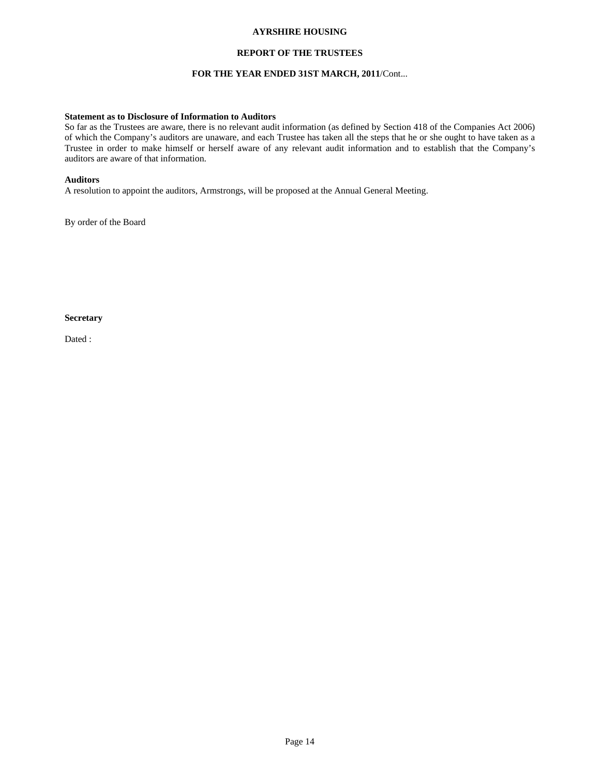### **REPORT OF THE TRUSTEES**

### **FOR THE YEAR ENDED 31ST MARCH, 2011**/Cont...

#### **Statement as to Disclosure of Information to Auditors**

So far as the Trustees are aware, there is no relevant audit information (as defined by Section 418 of the Companies Act 2006) of which the Company's auditors are unaware, and each Trustee has taken all the steps that he or she ought to have taken as a Trustee in order to make himself or herself aware of any relevant audit information and to establish that the Company's auditors are aware of that information.

## **Auditors**

A resolution to appoint the auditors, Armstrongs, will be proposed at the Annual General Meeting.

By order of the Board

### **Secretary**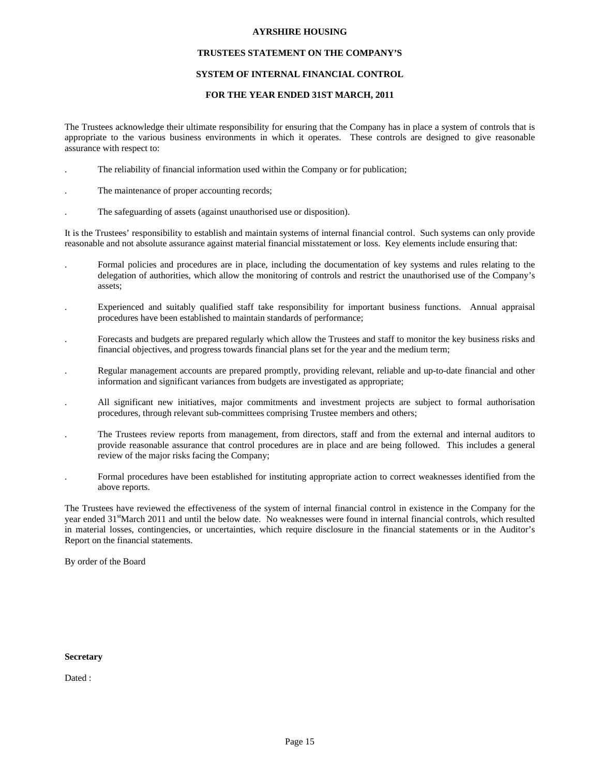### **TRUSTEES STATEMENT ON THE COMPANY'S**

### **SYSTEM OF INTERNAL FINANCIAL CONTROL**

### **FOR THE YEAR ENDED 31ST MARCH, 2011**

The Trustees acknowledge their ultimate responsibility for ensuring that the Company has in place a system of controls that is appropriate to the various business environments in which it operates. These controls are designed to give reasonable assurance with respect to:

- . The reliability of financial information used within the Company or for publication;
- . The maintenance of proper accounting records;
- . The safeguarding of assets (against unauthorised use or disposition).

It is the Trustees' responsibility to establish and maintain systems of internal financial control. Such systems can only provide reasonable and not absolute assurance against material financial misstatement or loss. Key elements include ensuring that:

- . Formal policies and procedures are in place, including the documentation of key systems and rules relating to the delegation of authorities, which allow the monitoring of controls and restrict the unauthorised use of the Company's assets;
- . Experienced and suitably qualified staff take responsibility for important business functions. Annual appraisal procedures have been established to maintain standards of performance;
- . Forecasts and budgets are prepared regularly which allow the Trustees and staff to monitor the key business risks and financial objectives, and progress towards financial plans set for the year and the medium term;
- . Regular management accounts are prepared promptly, providing relevant, reliable and up-to-date financial and other information and significant variances from budgets are investigated as appropriate;
- . All significant new initiatives, major commitments and investment projects are subject to formal authorisation procedures, through relevant sub-committees comprising Trustee members and others;
- . The Trustees review reports from management, from directors, staff and from the external and internal auditors to provide reasonable assurance that control procedures are in place and are being followed. This includes a general review of the major risks facing the Company;
- . Formal procedures have been established for instituting appropriate action to correct weaknesses identified from the above reports.

The Trustees have reviewed the effectiveness of the system of internal financial control in existence in the Company for the year ended 31<sup>st</sup>March 2011 and until the below date. No weaknesses were found in internal financial controls, which resulted in material losses, contingencies, or uncertainties, which require disclosure in the financial statements or in the Auditor's Report on the financial statements.

By order of the Board

### **Secretary**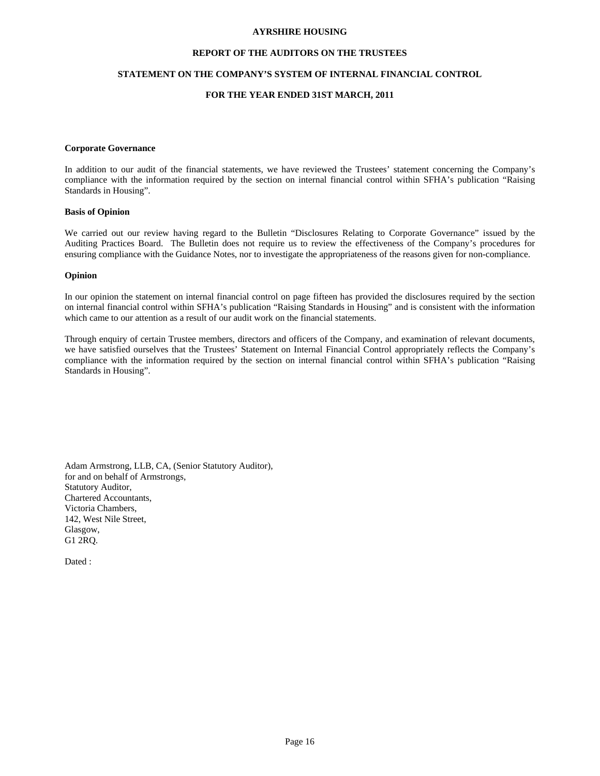### **REPORT OF THE AUDITORS ON THE TRUSTEES**

## **STATEMENT ON THE COMPANY'S SYSTEM OF INTERNAL FINANCIAL CONTROL**

### **FOR THE YEAR ENDED 31ST MARCH, 2011**

#### **Corporate Governance**

In addition to our audit of the financial statements, we have reviewed the Trustees' statement concerning the Company's compliance with the information required by the section on internal financial control within SFHA's publication "Raising Standards in Housing".

### **Basis of Opinion**

We carried out our review having regard to the Bulletin "Disclosures Relating to Corporate Governance" issued by the Auditing Practices Board. The Bulletin does not require us to review the effectiveness of the Company's procedures for ensuring compliance with the Guidance Notes, nor to investigate the appropriateness of the reasons given for non-compliance.

### **Opinion**

In our opinion the statement on internal financial control on page fifteen has provided the disclosures required by the section on internal financial control within SFHA's publication "Raising Standards in Housing" and is consistent with the information which came to our attention as a result of our audit work on the financial statements.

Through enquiry of certain Trustee members, directors and officers of the Company, and examination of relevant documents, we have satisfied ourselves that the Trustees' Statement on Internal Financial Control appropriately reflects the Company's compliance with the information required by the section on internal financial control within SFHA's publication "Raising Standards in Housing".

Adam Armstrong, LLB, CA, (Senior Statutory Auditor), for and on behalf of Armstrongs, Statutory Auditor, Chartered Accountants, Victoria Chambers, 142, West Nile Street, Glasgow, G1 2RQ.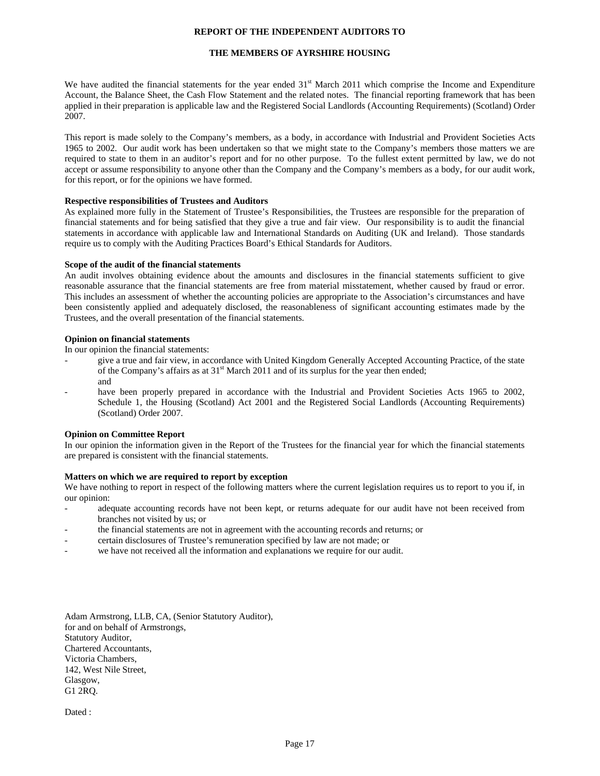### **REPORT OF THE INDEPENDENT AUDITORS TO**

### **THE MEMBERS OF AYRSHIRE HOUSING**

We have audited the financial statements for the year ended  $31<sup>st</sup>$  March 2011 which comprise the Income and Expenditure Account, the Balance Sheet, the Cash Flow Statement and the related notes. The financial reporting framework that has been applied in their preparation is applicable law and the Registered Social Landlords (Accounting Requirements) (Scotland) Order 2007.

This report is made solely to the Company's members, as a body, in accordance with Industrial and Provident Societies Acts 1965 to 2002. Our audit work has been undertaken so that we might state to the Company's members those matters we are required to state to them in an auditor's report and for no other purpose. To the fullest extent permitted by law, we do not accept or assume responsibility to anyone other than the Company and the Company's members as a body, for our audit work, for this report, or for the opinions we have formed.

### **Respective responsibilities of Trustees and Auditors**

As explained more fully in the Statement of Trustee's Responsibilities, the Trustees are responsible for the preparation of financial statements and for being satisfied that they give a true and fair view. Our responsibility is to audit the financial statements in accordance with applicable law and International Standards on Auditing (UK and Ireland). Those standards require us to comply with the Auditing Practices Board's Ethical Standards for Auditors.

### **Scope of the audit of the financial statements**

An audit involves obtaining evidence about the amounts and disclosures in the financial statements sufficient to give reasonable assurance that the financial statements are free from material misstatement, whether caused by fraud or error. This includes an assessment of whether the accounting policies are appropriate to the Association's circumstances and have been consistently applied and adequately disclosed, the reasonableness of significant accounting estimates made by the Trustees, and the overall presentation of the financial statements.

### **Opinion on financial statements**

In our opinion the financial statements:

- give a true and fair view, in accordance with United Kingdom Generally Accepted Accounting Practice, of the state of the Company's affairs as at 31<sup>st</sup> March 2011 and of its surplus for the year then ended; and
- have been properly prepared in accordance with the Industrial and Provident Societies Acts 1965 to 2002, Schedule 1, the Housing (Scotland) Act 2001 and the Registered Social Landlords (Accounting Requirements) (Scotland) Order 2007.

### **Opinion on Committee Report**

In our opinion the information given in the Report of the Trustees for the financial year for which the financial statements are prepared is consistent with the financial statements.

### **Matters on which we are required to report by exception**

We have nothing to report in respect of the following matters where the current legislation requires us to report to you if, in our opinion:

- adequate accounting records have not been kept, or returns adequate for our audit have not been received from branches not visited by us; or
- the financial statements are not in agreement with the accounting records and returns; or
- certain disclosures of Trustee's remuneration specified by law are not made; or
- we have not received all the information and explanations we require for our audit.

Adam Armstrong, LLB, CA, (Senior Statutory Auditor), for and on behalf of Armstrongs, Statutory Auditor, Chartered Accountants, Victoria Chambers, 142, West Nile Street, Glasgow, G1 2RQ.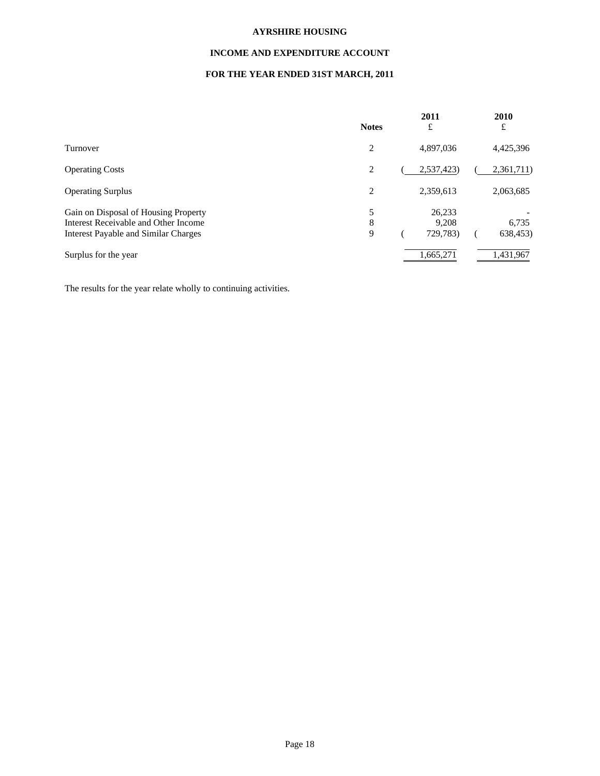## **INCOME AND EXPENDITURE ACCOUNT**

## **FOR THE YEAR ENDED 31ST MARCH, 2011**

|                                                                                                                      | <b>Notes</b> | 2011<br>£                   | 2010<br>£         |
|----------------------------------------------------------------------------------------------------------------------|--------------|-----------------------------|-------------------|
| Turnover                                                                                                             | 2            | 4,897,036                   | 4,425,396         |
| <b>Operating Costs</b>                                                                                               | 2            | 2,537,423)                  | 2,361,711)        |
| <b>Operating Surplus</b>                                                                                             | 2            | 2,359,613                   | 2,063,685         |
| Gain on Disposal of Housing Property<br>Interest Receivable and Other Income<br>Interest Payable and Similar Charges | 5<br>8<br>9  | 26,233<br>9.208<br>729,783) | 6,735<br>638,453) |
| Surplus for the year                                                                                                 |              | 1,665,271                   | 1,431,967         |

The results for the year relate wholly to continuing activities.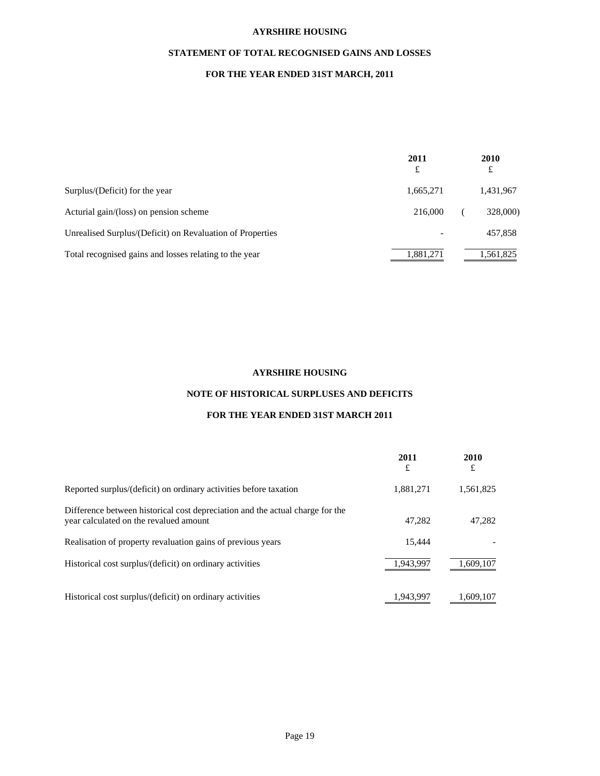## **STATEMENT OF TOTAL RECOGNISED GAINS AND LOSSES**

## **FOR THE YEAR ENDED 31ST MARCH, 2011**

|                                                           | 2011<br>£ | 2010<br>£ |
|-----------------------------------------------------------|-----------|-----------|
| Surplus/(Deficit) for the year                            | 1,665,271 | 1,431,967 |
| Acturial gain/(loss) on pension scheme                    | 216,000   | 328,000)  |
| Unrealised Surplus/(Deficit) on Revaluation of Properties |           | 457,858   |
| Total recognised gains and losses relating to the year    | 1,881,271 | 1,561,825 |

## **AYRSHIRE HOUSING**

## **NOTE OF HISTORICAL SURPLUSES AND DEFICITS**

## **FOR THE YEAR ENDED 31ST MARCH 2011**

|                                                                                                                         | 2011<br>£ | 2010<br>£ |
|-------------------------------------------------------------------------------------------------------------------------|-----------|-----------|
| Reported surplus/(deficit) on ordinary activities before taxation                                                       | 1,881,271 | 1,561,825 |
| Difference between historical cost depreciation and the actual charge for the<br>year calculated on the revalued amount | 47.282    | 47.282    |
| Realisation of property revaluation gains of previous years                                                             | 15.444    |           |
| Historical cost surplus/(deficit) on ordinary activities                                                                | 1.943.997 | 1,609,107 |
| Historical cost surplus/(deficit) on ordinary activities                                                                | 1.943.997 | 1.609.107 |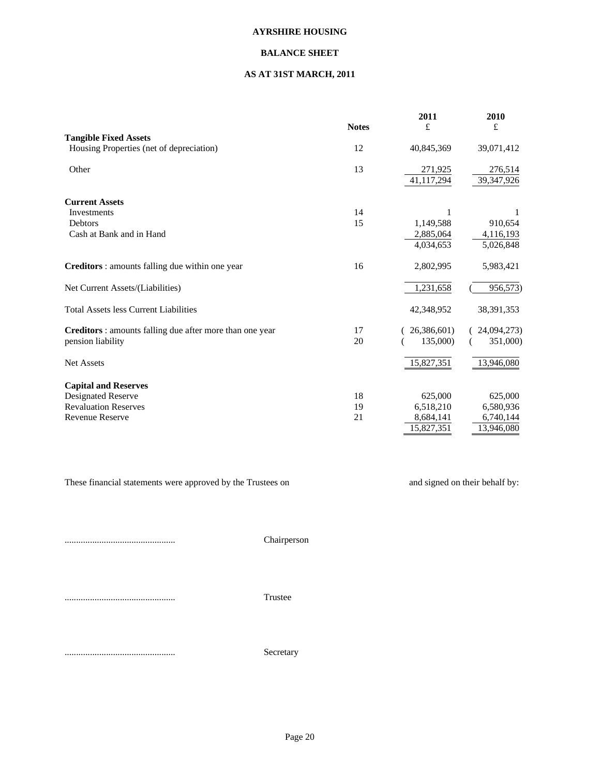### **BALANCE SHEET**

## **AS AT 31ST MARCH, 2011**

|                                                          |              | 2011        | 2010         |
|----------------------------------------------------------|--------------|-------------|--------------|
|                                                          | <b>Notes</b> | £           | £            |
| <b>Tangible Fixed Assets</b>                             |              |             |              |
| Housing Properties (net of depreciation)                 | 12           | 40,845,369  | 39,071,412   |
| Other                                                    | 13           | 271,925     | 276,514      |
|                                                          |              | 41,117,294  | 39,347,926   |
| <b>Current Assets</b>                                    |              |             |              |
| Investments                                              | 14           |             |              |
| Debtors                                                  | 15           | 1,149,588   | 910,654      |
| Cash at Bank and in Hand                                 |              | 2,885,064   | 4,116,193    |
|                                                          |              | 4,034,653   | 5,026,848    |
| Creditors: amounts falling due within one year           | 16           | 2,802,995   | 5,983,421    |
| Net Current Assets/(Liabilities)                         |              | 1,231,658   | 956,573)     |
| <b>Total Assets less Current Liabilities</b>             |              | 42,348,952  | 38, 391, 353 |
| Creditors : amounts falling due after more than one year | 17           | 26,386,601) | 24,094,273)  |
| pension liability                                        | 20           | 135,000)    | 351,000)     |
| <b>Net Assets</b>                                        |              | 15,827,351  | 13,946,080   |
| <b>Capital and Reserves</b>                              |              |             |              |
| Designated Reserve                                       | 18           | 625,000     | 625,000      |
| <b>Revaluation Reserves</b>                              | 19           | 6,518,210   | 6,580,936    |
| <b>Revenue Reserve</b>                                   | 21           | 8,684,141   | 6,740,144    |
|                                                          |              | 15,827,351  | 13,946,080   |

These financial statements were approved by the Trustees on and signed on their behalf by:

................................................ Chairperson

................................................ Trustee

................................................ Secretary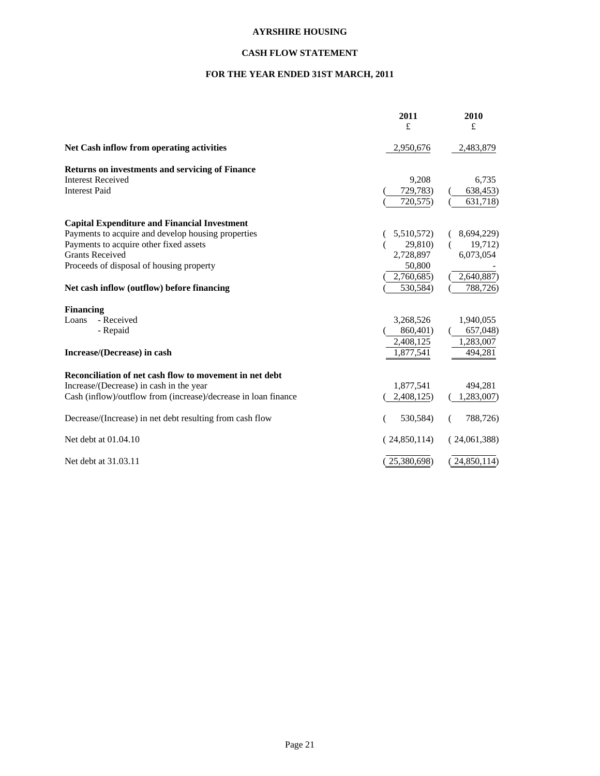## **CASH FLOW STATEMENT**

## **FOR THE YEAR ENDED 31ST MARCH, 2011**

|                                                                | 2011<br>£            | 2010<br>£            |
|----------------------------------------------------------------|----------------------|----------------------|
| Net Cash inflow from operating activities                      | 2,950,676            | 2,483,879            |
| <b>Returns on investments and servicing of Finance</b>         |                      |                      |
| <b>Interest Received</b>                                       | 9,208                | 6,735                |
| <b>Interest Paid</b>                                           | 729,783)<br>720,575) | 638,453)<br>631,718) |
| <b>Capital Expenditure and Financial Investment</b>            |                      |                      |
| Payments to acquire and develop housing properties             | 5,510,572)           | 8,694,229)           |
| Payments to acquire other fixed assets                         | 29,810)              | 19,712)              |
| <b>Grants Received</b>                                         | 2,728,897            | 6,073,054            |
| Proceeds of disposal of housing property                       | 50,800               |                      |
|                                                                | 2,760,685)           | 2,640,887)           |
| Net cash inflow (outflow) before financing                     | 530,584)             | 788,726)             |
| <b>Financing</b>                                               |                      |                      |
| - Received<br>Loans                                            | 3,268,526            | 1,940,055            |
| - Repaid                                                       | 860,401)             | 657,048)             |
|                                                                | 2,408,125            | 1,283,007            |
| Increase/(Decrease) in cash                                    | 1,877,541            | 494,281              |
|                                                                |                      |                      |
| Reconciliation of net cash flow to movement in net debt        |                      |                      |
| Increase/(Decrease) in cash in the year                        | 1,877,541            | 494,281              |
| Cash (inflow)/outflow from (increase)/decrease in loan finance | 2,408,125)           | 1,283,007)           |
| Decrease/(Increase) in net debt resulting from cash flow       | 530,584)             | 788,726)             |
| Net debt at 01.04.10                                           | (24,850,114)         | (24,061,388)         |
| Net debt at 31.03.11                                           | 25,380,698)          | 24,850,114)          |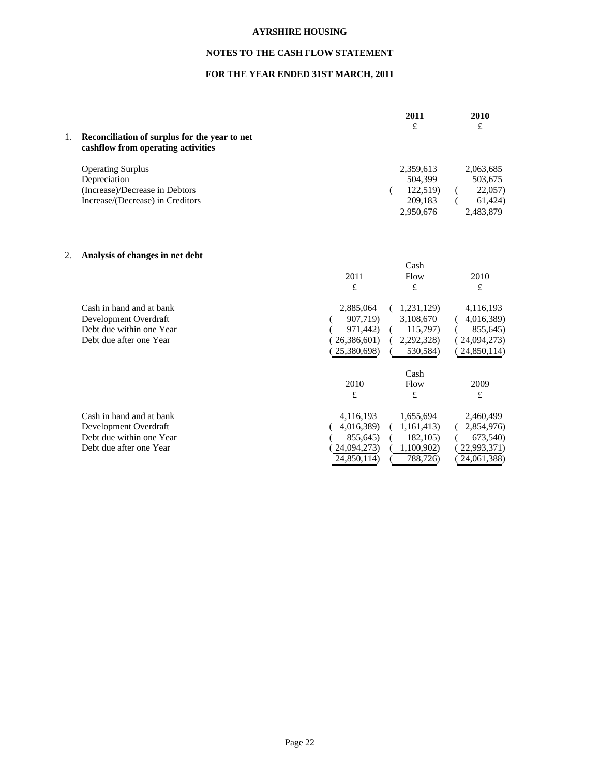## **NOTES TO THE CASH FLOW STATEMENT**

## **FOR THE YEAR ENDED 31ST MARCH, 2011**

|    |                                                                                                                |                                                                   | 2011<br>£                                                          | 2010<br>£                                                         |
|----|----------------------------------------------------------------------------------------------------------------|-------------------------------------------------------------------|--------------------------------------------------------------------|-------------------------------------------------------------------|
| 1. | Reconciliation of surplus for the year to net<br>cashflow from operating activities                            |                                                                   |                                                                    |                                                                   |
|    | <b>Operating Surplus</b><br>Depreciation<br>(Increase)/Decrease in Debtors<br>Increase/(Decrease) in Creditors |                                                                   | 2,359,613<br>504.399<br>122,519)<br>€<br>209,183<br>2,950,676      | 2,063,685<br>503,675<br>22,057)<br>61,424)<br>2,483,879           |
| 2. | Analysis of changes in net debt                                                                                | 2011<br>£                                                         | Cash<br>Flow<br>£                                                  | 2010<br>£                                                         |
|    | Cash in hand and at bank<br>Development Overdraft<br>Debt due within one Year<br>Debt due after one Year       | 2,885,064<br>907,719)<br>971,442)<br>26,386,601)<br>25,380,698)   | 1,231,129)<br>€<br>3,108,670<br>115,797)<br>2,292,328)<br>530,584) | 4,116,193<br>4,016,389)<br>855,645)<br>24,094,273)<br>24,850,114) |
|    |                                                                                                                | 2010<br>£                                                         | Cash<br>Flow<br>£                                                  | 2009<br>£                                                         |
|    | Cash in hand and at bank<br>Development Overdraft<br>Debt due within one Year<br>Debt due after one Year       | 4,116,193<br>4,016,389)<br>855,645)<br>24,094,273)<br>24,850,114) | 1,655,694<br>1,161,413)<br>182,105)<br>1,100,902)<br>788,726)      | 2,460,499<br>2,854,976)<br>673,540)<br>22,993,371)<br>24,061,388) |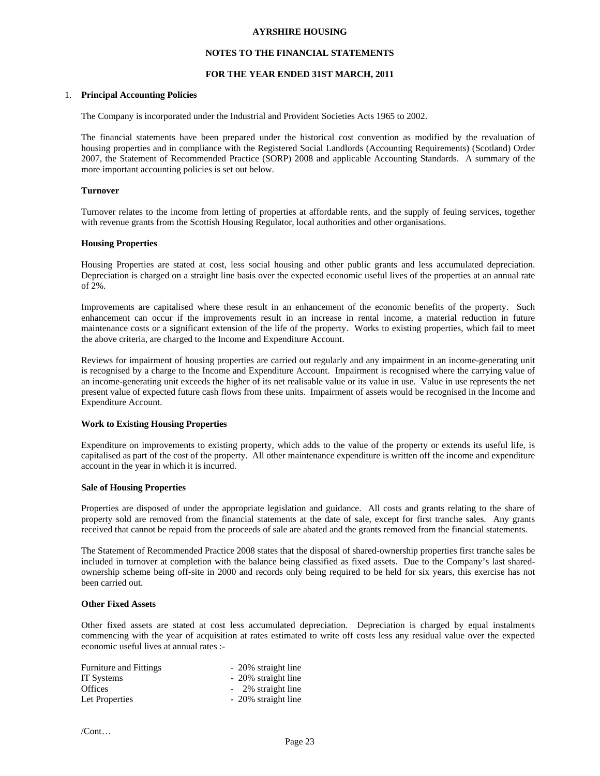#### **NOTES TO THE FINANCIAL STATEMENTS**

#### **FOR THE YEAR ENDED 31ST MARCH, 2011**

#### 1. **Principal Accounting Policies**

The Company is incorporated under the Industrial and Provident Societies Acts 1965 to 2002.

The financial statements have been prepared under the historical cost convention as modified by the revaluation of housing properties and in compliance with the Registered Social Landlords (Accounting Requirements) (Scotland) Order 2007, the Statement of Recommended Practice (SORP) 2008 and applicable Accounting Standards. A summary of the more important accounting policies is set out below.

#### **Turnover**

 Turnover relates to the income from letting of properties at affordable rents, and the supply of feuing services, together with revenue grants from the Scottish Housing Regulator, local authorities and other organisations.

#### **Housing Properties**

 Housing Properties are stated at cost, less social housing and other public grants and less accumulated depreciation. Depreciation is charged on a straight line basis over the expected economic useful lives of the properties at an annual rate of 2%.

 Improvements are capitalised where these result in an enhancement of the economic benefits of the property. Such enhancement can occur if the improvements result in an increase in rental income, a material reduction in future maintenance costs or a significant extension of the life of the property. Works to existing properties, which fail to meet the above criteria, are charged to the Income and Expenditure Account.

 Reviews for impairment of housing properties are carried out regularly and any impairment in an income-generating unit is recognised by a charge to the Income and Expenditure Account. Impairment is recognised where the carrying value of an income-generating unit exceeds the higher of its net realisable value or its value in use. Value in use represents the net present value of expected future cash flows from these units. Impairment of assets would be recognised in the Income and Expenditure Account.

#### **Work to Existing Housing Properties**

 Expenditure on improvements to existing property, which adds to the value of the property or extends its useful life, is capitalised as part of the cost of the property. All other maintenance expenditure is written off the income and expenditure account in the year in which it is incurred.

#### **Sale of Housing Properties**

 Properties are disposed of under the appropriate legislation and guidance. All costs and grants relating to the share of property sold are removed from the financial statements at the date of sale, except for first tranche sales. Any grants received that cannot be repaid from the proceeds of sale are abated and the grants removed from the financial statements.

 The Statement of Recommended Practice 2008 states that the disposal of shared-ownership properties first tranche sales be included in turnover at completion with the balance being classified as fixed assets. Due to the Company's last sharedownership scheme being off-site in 2000 and records only being required to be held for six years, this exercise has not been carried out.

### **Other Fixed Assets**

Other fixed assets are stated at cost less accumulated depreciation. Depreciation is charged by equal instalments commencing with the year of acquisition at rates estimated to write off costs less any residual value over the expected economic useful lives at annual rates :-

| <b>Furniture and Fittings</b> | - 20% straight line |
|-------------------------------|---------------------|
| IT Systems                    | - 20% straight line |
| <b>Offices</b>                | - 2% straight line  |
| Let Properties                | - 20% straight line |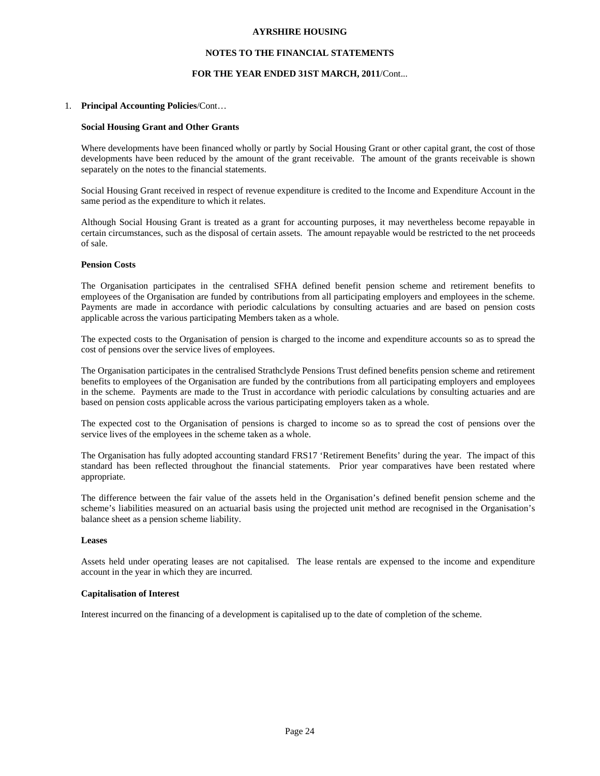### **NOTES TO THE FINANCIAL STATEMENTS**

### **FOR THE YEAR ENDED 31ST MARCH, 2011**/Cont...

### 1. **Principal Accounting Policies**/Cont…

#### **Social Housing Grant and Other Grants**

 Where developments have been financed wholly or partly by Social Housing Grant or other capital grant, the cost of those developments have been reduced by the amount of the grant receivable. The amount of the grants receivable is shown separately on the notes to the financial statements.

 Social Housing Grant received in respect of revenue expenditure is credited to the Income and Expenditure Account in the same period as the expenditure to which it relates.

 Although Social Housing Grant is treated as a grant for accounting purposes, it may nevertheless become repayable in certain circumstances, such as the disposal of certain assets. The amount repayable would be restricted to the net proceeds of sale.

### **Pension Costs**

 The Organisation participates in the centralised SFHA defined benefit pension scheme and retirement benefits to employees of the Organisation are funded by contributions from all participating employers and employees in the scheme. Payments are made in accordance with periodic calculations by consulting actuaries and are based on pension costs applicable across the various participating Members taken as a whole.

 The expected costs to the Organisation of pension is charged to the income and expenditure accounts so as to spread the cost of pensions over the service lives of employees.

 The Organisation participates in the centralised Strathclyde Pensions Trust defined benefits pension scheme and retirement benefits to employees of the Organisation are funded by the contributions from all participating employers and employees in the scheme. Payments are made to the Trust in accordance with periodic calculations by consulting actuaries and are based on pension costs applicable across the various participating employers taken as a whole.

 The expected cost to the Organisation of pensions is charged to income so as to spread the cost of pensions over the service lives of the employees in the scheme taken as a whole.

 The Organisation has fully adopted accounting standard FRS17 'Retirement Benefits' during the year. The impact of this standard has been reflected throughout the financial statements. Prior year comparatives have been restated where appropriate.

 The difference between the fair value of the assets held in the Organisation's defined benefit pension scheme and the scheme's liabilities measured on an actuarial basis using the projected unit method are recognised in the Organisation's balance sheet as a pension scheme liability.

#### **Leases**

 Assets held under operating leases are not capitalised. The lease rentals are expensed to the income and expenditure account in the year in which they are incurred.

#### **Capitalisation of Interest**

Interest incurred on the financing of a development is capitalised up to the date of completion of the scheme.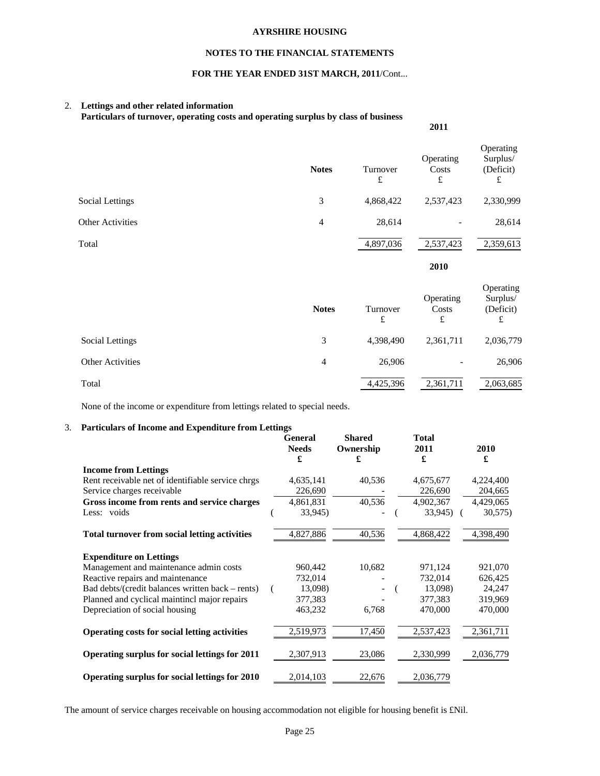### **NOTES TO THE FINANCIAL STATEMENTS**

### **FOR THE YEAR ENDED 31ST MARCH, 2011**/Cont...

### 2. **Lettings and other related information**

### **Particulars of turnover, operating costs and operating surplus by class of business**

|                         |                |               | 2011                    |                                         |
|-------------------------|----------------|---------------|-------------------------|-----------------------------------------|
|                         | <b>Notes</b>   | Turnover<br>£ | Operating<br>Costs<br>£ | Operating<br>Surplus/<br>(Deficit)<br>£ |
| Social Lettings         | 3              | 4,868,422     | 2,537,423               | 2,330,999                               |
| <b>Other Activities</b> | $\overline{4}$ | 28,614        |                         | 28,614                                  |
| Total                   |                | 4,897,036     | 2,537,423               | 2,359,613                               |
|                         |                |               | 2010                    |                                         |

|                         | <b>Notes</b> | Turnover<br>£ | Operating<br>Costs<br>£  | Operating<br>Surplus/<br>(Deficit)<br>£ |
|-------------------------|--------------|---------------|--------------------------|-----------------------------------------|
| Social Lettings         | 3            | 4,398,490     | 2,361,711                | 2,036,779                               |
| <b>Other Activities</b> | 4            | 26,906        | $\overline{\phantom{a}}$ | 26,906                                  |
| Total                   |              | 4,425,396     | 2,361,711                | 2,063,685                               |

None of the income or expenditure from lettings related to special needs.

### 3. **Particulars of Income and Expenditure from Lettings**

|                                                      | <b>General</b><br><b>Needs</b><br>£ | <b>Shared</b><br>Ownership<br>£ | Total<br>2011<br>£ | 2010<br>£ |
|------------------------------------------------------|-------------------------------------|---------------------------------|--------------------|-----------|
| <b>Income from Lettings</b>                          |                                     |                                 |                    |           |
| Rent receivable net of identifiable service chrgs    | 4,635,141                           | 40,536                          | 4,675,677          | 4,224,400 |
| Service charges receivable                           | 226,690                             |                                 | 226,690            | 204,665   |
| Gross income from rents and service charges          | 4,861,831                           | 40,536                          | 4,902,367          | 4,429,065 |
| Less: voids                                          | 33,945)                             |                                 | $33,945$ (         | 30,575)   |
| <b>Total turnover from social letting activities</b> | 4,827,886                           | 40,536                          | 4,868,422          | 4,398,490 |
| <b>Expenditure on Lettings</b>                       |                                     |                                 |                    |           |
| Management and maintenance admin costs               | 960,442                             | 10,682                          | 971,124            | 921,070   |
| Reactive repairs and maintenance                     | 732,014                             |                                 | 732,014            | 626,425   |
| Bad debts/(credit balances written back – rents)     | 13,098)                             | $\overline{\phantom{a}}$        | 13,098)            | 24,247    |
| Planned and cyclical maintinel major repairs         | 377,383                             |                                 | 377,383            | 319,969   |
| Depreciation of social housing                       | 463,232                             | 6,768                           | 470,000            | 470,000   |
| <b>Operating costs for social letting activities</b> | 2,519,973                           | 17,450                          | 2,537,423          | 2,361,711 |
| Operating surplus for social lettings for 2011       | 2,307,913                           | 23,086                          | 2,330,999          | 2,036,779 |
| Operating surplus for social lettings for 2010       | 2,014,103                           | 22,676                          | 2,036,779          |           |

The amount of service charges receivable on housing accommodation not eligible for housing benefit is £Nil.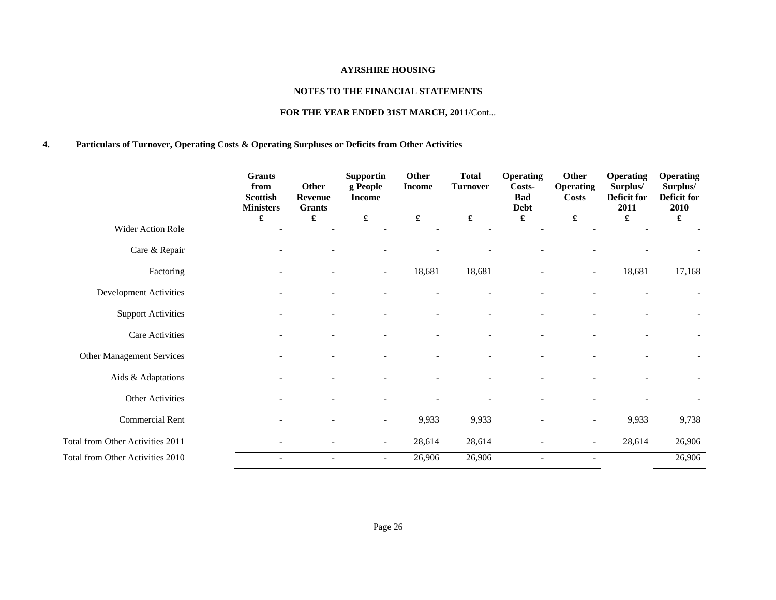#### **NOTES TO THE FINANCIAL STATEMENTS**

## **FOR THE YEAR ENDED 31ST MARCH, 2011**/Cont...

#### **4.Particulars of Turnover, Operating Costs & Operating Surpluses or Deficits from Other Activities**

|                                  | <b>Grants</b><br>from<br><b>Scottish</b><br><b>Ministers</b> | Other<br><b>Revenue</b><br>Grants | <b>Supportin</b><br>g People<br><b>Income</b> | Other<br><b>Income</b> | <b>Total</b><br><b>Turnover</b> | <b>Operating</b><br>Costs-<br><b>Bad</b><br>Debt | Other<br><b>Operating</b><br><b>Costs</b> | <b>Operating</b><br>Surplus/<br>Deficit for<br>2011 | <b>Operating</b><br>Surplus/<br>Deficit for<br>2010 |
|----------------------------------|--------------------------------------------------------------|-----------------------------------|-----------------------------------------------|------------------------|---------------------------------|--------------------------------------------------|-------------------------------------------|-----------------------------------------------------|-----------------------------------------------------|
| Wider Action Role                | £                                                            | £                                 | $\pmb{\mathfrak{L}}$                          | $\pmb{\mathfrak{L}}$   | $\pmb{\mathfrak{L}}$            | £                                                | $\pmb{\mathfrak{L}}$                      | £                                                   | £                                                   |
| Care & Repair                    |                                                              |                                   |                                               |                        |                                 |                                                  |                                           |                                                     |                                                     |
| Factoring                        |                                                              |                                   | $\overline{\phantom{a}}$                      | 18,681                 | 18,681                          |                                                  | $-$                                       | 18,681                                              | 17,168                                              |
| <b>Development Activities</b>    |                                                              | $\overline{\phantom{a}}$          | $\overline{\phantom{a}}$                      |                        |                                 |                                                  |                                           |                                                     |                                                     |
| <b>Support Activities</b>        |                                                              |                                   |                                               |                        |                                 |                                                  |                                           |                                                     |                                                     |
| Care Activities                  |                                                              |                                   | $\overline{a}$                                |                        | $\overline{\phantom{a}}$        |                                                  |                                           |                                                     | $\overline{\phantom{a}}$                            |
| Other Management Services        |                                                              |                                   | $\overline{\phantom{a}}$                      |                        |                                 |                                                  |                                           |                                                     |                                                     |
| Aids & Adaptations               |                                                              |                                   |                                               |                        |                                 |                                                  |                                           |                                                     |                                                     |
| Other Activities                 |                                                              |                                   | $\overline{\phantom{a}}$                      |                        | $\overline{\phantom{a}}$        |                                                  |                                           |                                                     |                                                     |
| Commercial Rent                  |                                                              |                                   | $\overline{\phantom{a}}$                      | 9,933                  | 9,933                           |                                                  | $\overline{\phantom{a}}$                  | 9,933                                               | 9,738                                               |
| Total from Other Activities 2011 | $\blacksquare$                                               | $\overline{\phantom{a}}$          | $\overline{\phantom{a}}$                      | 28,614                 | 28,614                          |                                                  | $\overline{\phantom{a}}$                  | 28,614                                              | 26,906                                              |
| Total from Other Activities 2010 | $\blacksquare$                                               | $\overline{a}$                    | $\blacksquare$                                | 26,906                 | 26,906                          |                                                  | $\blacksquare$                            |                                                     | 26,906                                              |
|                                  |                                                              |                                   |                                               |                        |                                 |                                                  |                                           |                                                     |                                                     |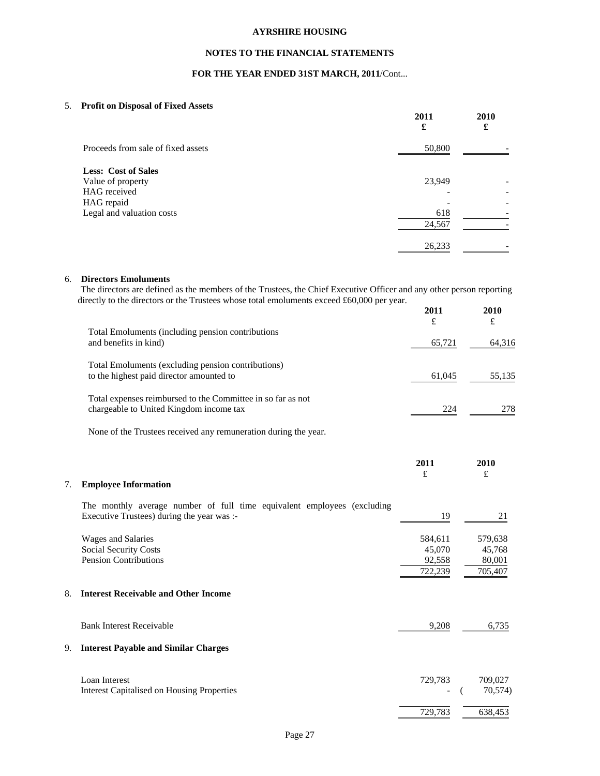## **NOTES TO THE FINANCIAL STATEMENTS**

## **FOR THE YEAR ENDED 31ST MARCH, 2011**/Cont...

## 5. **Profit on Disposal of Fixed Assets**

|                                    | 2011<br>£ | 2010<br>£ |
|------------------------------------|-----------|-----------|
| Proceeds from sale of fixed assets | 50,800    |           |
| <b>Less: Cost of Sales</b>         |           |           |
| Value of property                  | 23,949    |           |
| HAG received                       |           |           |
| HAG repaid                         |           |           |
| Legal and valuation costs          | 618       |           |
|                                    | 24,567    |           |
|                                    | 26,233    |           |

### 6. **Directors Emoluments**

 The directors are defined as the members of the Trustees, the Chief Executive Officer and any other person reporting directly to the directors or the Trustees whose total emoluments exceed £60,000 per year.

|    |                                                                                                                       | 2011<br>£                              | 2010<br>£                              |
|----|-----------------------------------------------------------------------------------------------------------------------|----------------------------------------|----------------------------------------|
|    | Total Emoluments (including pension contributions<br>and benefits in kind)                                            | 65,721                                 | 64,316                                 |
|    | Total Emoluments (excluding pension contributions)<br>to the highest paid director amounted to                        | 61,045                                 | 55,135                                 |
|    | Total expenses reimbursed to the Committee in so far as not<br>chargeable to United Kingdom income tax                | 224                                    | 278                                    |
|    | None of the Trustees received any remuneration during the year.                                                       |                                        |                                        |
|    |                                                                                                                       | 2011<br>£                              | 2010<br>£                              |
| 7. | <b>Employee Information</b>                                                                                           |                                        |                                        |
|    | The monthly average number of full time equivalent employees (excluding<br>Executive Trustees) during the year was :- | 19                                     | 21                                     |
|    | <b>Wages and Salaries</b><br><b>Social Security Costs</b><br><b>Pension Contributions</b>                             | 584,611<br>45,070<br>92,558<br>722,239 | 579,638<br>45,768<br>80,001<br>705,407 |
| 8. | <b>Interest Receivable and Other Income</b>                                                                           |                                        |                                        |
|    | <b>Bank Interest Receivable</b>                                                                                       | 9,208                                  | 6,735                                  |
| 9. | <b>Interest Payable and Similar Charges</b>                                                                           |                                        |                                        |
|    | Loan Interest<br><b>Interest Capitalised on Housing Properties</b>                                                    | 729,783<br>$\left($                    | 709,027<br>70,574)                     |
|    |                                                                                                                       | 729,783                                | 638,453                                |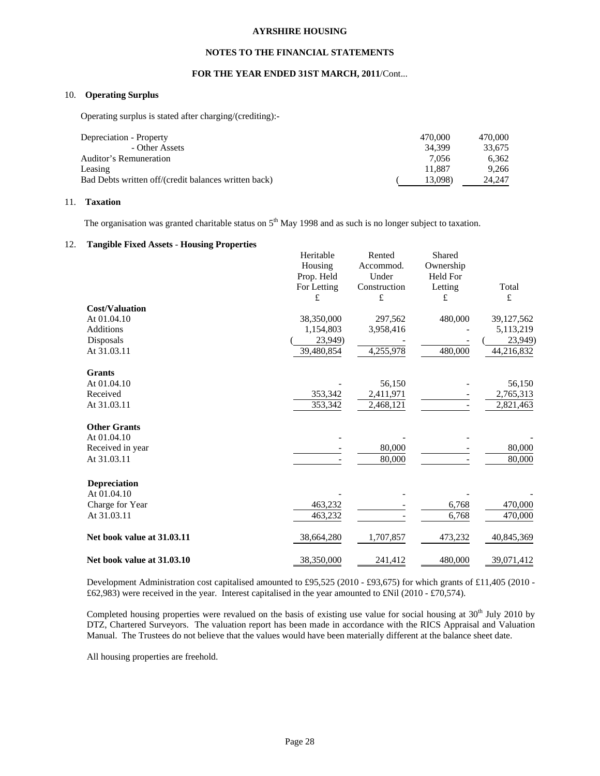### **NOTES TO THE FINANCIAL STATEMENTS**

### **FOR THE YEAR ENDED 31ST MARCH, 2011**/Cont...

### 10. **Operating Surplus**

Operating surplus is stated after charging/(crediting):-

| Depreciation - Property                              | 470,000 | 470,000 |
|------------------------------------------------------|---------|---------|
| - Other Assets                                       | 34.399  | 33.675  |
| Auditor's Remuneration                               | 7.056   | 6.362   |
| Leasing                                              | 11.887  | 9.266   |
| Bad Debts written off/(credit balances written back) | 13.098) | 24,247  |

#### 11. **Taxation**

The organisation was granted charitable status on  $5<sup>th</sup>$  May 1998 and as such is no longer subject to taxation.

#### 12. **Tangible Fixed Assets** - **Housing Properties**

|                            | Heritable<br>Housing<br>Prop. Held<br>For Letting<br>£. | Rented<br>Accommod.<br>Under<br>Construction<br>£ | Shared<br>Ownership<br><b>Held For</b><br>Letting<br>£ | Total<br>£ |
|----------------------------|---------------------------------------------------------|---------------------------------------------------|--------------------------------------------------------|------------|
| <b>Cost/Valuation</b>      |                                                         |                                                   |                                                        |            |
| At 01.04.10                | 38,350,000                                              | 297,562                                           | 480,000                                                | 39,127,562 |
| <b>Additions</b>           | 1,154,803                                               | 3,958,416                                         |                                                        | 5,113,219  |
| Disposals                  | 23,949)                                                 |                                                   |                                                        | 23,949)    |
| At 31.03.11                | 39,480,854                                              | 4,255,978                                         | 480,000                                                | 44,216,832 |
| <b>Grants</b>              |                                                         |                                                   |                                                        |            |
| At 01.04.10                |                                                         | 56,150                                            |                                                        | 56,150     |
| Received                   | 353,342                                                 | 2,411,971                                         |                                                        | 2,765,313  |
| At 31.03.11                | 353,342                                                 | 2,468,121                                         |                                                        | 2,821,463  |
| <b>Other Grants</b>        |                                                         |                                                   |                                                        |            |
| At 01.04.10                |                                                         |                                                   |                                                        |            |
| Received in year           |                                                         | 80,000                                            |                                                        | 80,000     |
| At 31.03.11                |                                                         | 80,000                                            |                                                        | 80,000     |
| <b>Depreciation</b>        |                                                         |                                                   |                                                        |            |
| At 01.04.10                |                                                         |                                                   |                                                        |            |
| Charge for Year            | 463,232                                                 |                                                   | 6,768                                                  | 470,000    |
| At 31.03.11                | 463,232                                                 |                                                   | 6,768                                                  | 470,000    |
| Net book value at 31.03.11 | 38,664,280                                              | 1,707,857                                         | 473,232                                                | 40,845,369 |
| Net book value at 31,03,10 | 38,350,000                                              | 241,412                                           | 480,000                                                | 39,071,412 |

 Development Administration cost capitalised amounted to £95,525 (2010 - £93,675) for which grants of £11,405 (2010 - £62,983) were received in the year. Interest capitalised in the year amounted to £Nil (2010 - £70,574).

Completed housing properties were revalued on the basis of existing use value for social housing at 30<sup>th</sup> July 2010 by DTZ, Chartered Surveyors. The valuation report has been made in accordance with the RICS Appraisal and Valuation Manual. The Trustees do not believe that the values would have been materially different at the balance sheet date.

All housing properties are freehold.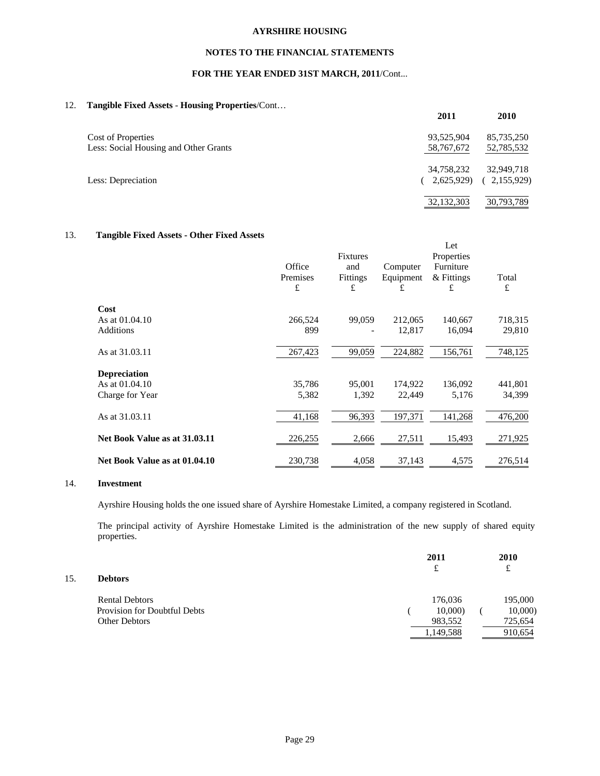### **NOTES TO THE FINANCIAL STATEMENTS**

### **FOR THE YEAR ENDED 31ST MARCH, 2011**/Cont...

### 12. **Tangible Fixed Assets** - **Housing Properties**/Cont…

|                                       | 2011         | 2010        |
|---------------------------------------|--------------|-------------|
| Cost of Properties                    | 93,525,904   | 85,735,250  |
| Less: Social Housing and Other Grants | 58,767,672   | 52,785,532  |
|                                       | 34,758,232   | 32,949,718  |
| Less: Depreciation                    | 2,625,929)   | (2,155,929) |
|                                       | 32, 132, 303 | 30,793,789  |

### 13. **Tangible Fixed Assets - Other Fixed Assets**

|                               | Office<br>Premises<br>£ | <b>Fixtures</b><br>and<br><b>Fittings</b><br>£ | Computer<br>Equipment<br>£ | Let<br>Properties<br>Furniture<br>& Fittings<br>£ | Total<br>£ |
|-------------------------------|-------------------------|------------------------------------------------|----------------------------|---------------------------------------------------|------------|
| Cost                          |                         |                                                |                            |                                                   |            |
| As at 01.04.10                | 266,524                 | 99,059                                         | 212,065                    | 140,667                                           | 718,315    |
| <b>Additions</b>              | 899                     |                                                | 12,817                     | 16,094                                            | 29,810     |
| As at 31.03.11                | 267,423                 | 99,059                                         | 224,882                    | 156,761                                           | 748,125    |
| <b>Depreciation</b>           |                         |                                                |                            |                                                   |            |
| As at 01.04.10                | 35,786                  | 95,001                                         | 174,922                    | 136,092                                           | 441,801    |
| Charge for Year               | 5,382                   | 1,392                                          | 22,449                     | 5,176                                             | 34,399     |
| As at 31.03.11                | 41,168                  | 96,393                                         | 197,371                    | 141,268                                           | 476,200    |
| Net Book Value as at 31.03.11 | 226,255                 | 2,666                                          | 27,511                     | 15,493                                            | 271,925    |
| Net Book Value as at 01.04.10 | 230,738                 | 4,058                                          | 37,143                     | 4,575                                             | 276,514    |

### 14. **Investment**

Ayrshire Housing holds the one issued share of Ayrshire Homestake Limited, a company registered in Scotland.

The principal activity of Ayrshire Homestake Limited is the administration of the new supply of shared equity properties.

|     |                                     | 2011<br>£ | 2010<br>£ |
|-----|-------------------------------------|-----------|-----------|
| 15. | <b>Debtors</b>                      |           |           |
|     | <b>Rental Debtors</b>               | 176,036   | 195,000   |
|     | <b>Provision for Doubtful Debts</b> | 10,000    | 10,000    |
|     | <b>Other Debtors</b>                | 983,552   | 725,654   |
|     |                                     | 1,149,588 | 910,654   |
|     |                                     |           |           |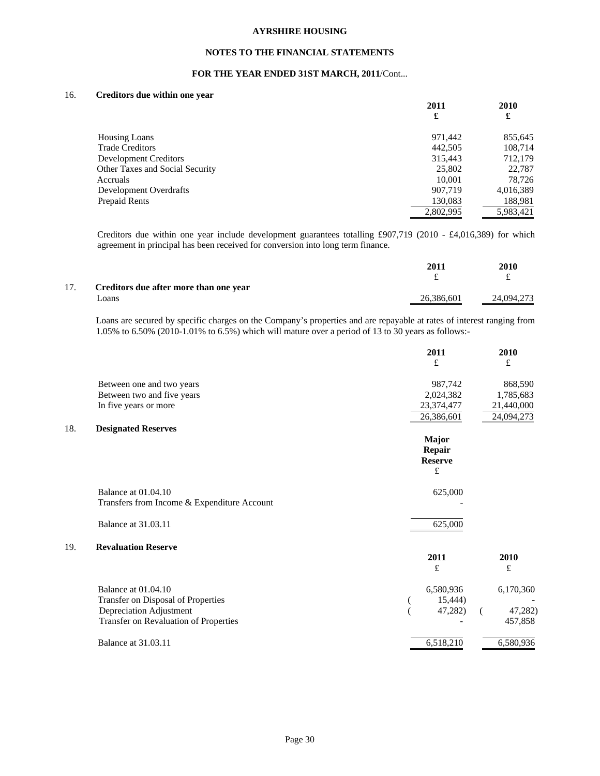### **NOTES TO THE FINANCIAL STATEMENTS**

### **FOR THE YEAR ENDED 31ST MARCH, 2011**/Cont...

### 16. **Creditors due within one year**

|                                 | 2011      | 2010      |
|---------------------------------|-----------|-----------|
|                                 | £         | £         |
| <b>Housing Loans</b>            | 971,442   | 855,645   |
| <b>Trade Creditors</b>          | 442,505   | 108,714   |
| Development Creditors           | 315,443   | 712,179   |
| Other Taxes and Social Security | 25,802    | 22,787    |
| Accruals                        | 10.001    | 78.726    |
| Development Overdrafts          | 907,719   | 4,016,389 |
| Prepaid Rents                   | 130,083   | 188,981   |
|                                 | 2,802,995 | 5,983,421 |
|                                 |           |           |

Creditors due within one year include development guarantees totalling £907,719 (2010 - £4,016,389) for which agreement in principal has been received for conversion into long term finance.

|     |                                        | 2011       | 2010       |
|-----|----------------------------------------|------------|------------|
|     |                                        |            |            |
| 17. | Creditors due after more than one year |            |            |
|     | Loans                                  | 26,386,601 | 24,094,273 |

 Loans are secured by specific charges on the Company's properties and are repayable at rates of interest ranging from 1.05% to 6.50% (2010-1.01% to 6.5%) which will mature over a period of 13 to 30 years as follows:-

|     |                                             | 2011                                   | 2010       |
|-----|---------------------------------------------|----------------------------------------|------------|
|     |                                             | £                                      | £          |
|     | Between one and two years                   | 987,742                                | 868,590    |
|     | Between two and five years                  | 2,024,382                              | 1,785,683  |
|     | In five years or more                       | 23,374,477                             | 21,440,000 |
|     |                                             | 26,386,601                             | 24,094,273 |
| 18. | <b>Designated Reserves</b>                  |                                        |            |
|     |                                             | Major<br>Repair<br><b>Reserve</b><br>£ |            |
|     |                                             |                                        |            |
|     | <b>Balance at 01.04.10</b>                  | 625,000                                |            |
|     | Transfers from Income & Expenditure Account |                                        |            |
|     | Balance at 31.03.11                         | 625,000                                |            |
| 19. | <b>Revaluation Reserve</b>                  |                                        |            |
|     |                                             | 2011                                   | 2010       |
|     |                                             | £                                      | £          |
|     | Balance at 01.04.10                         | 6,580,936                              | 6,170,360  |
|     | Transfer on Disposal of Properties          | 15,444)                                |            |
|     | Depreciation Adjustment                     | 47,282)                                | 47,282)    |
|     | Transfer on Revaluation of Properties       |                                        | 457,858    |
|     | <b>Balance at 31.03.11</b>                  | 6,518,210                              | 6,580,936  |
|     |                                             |                                        |            |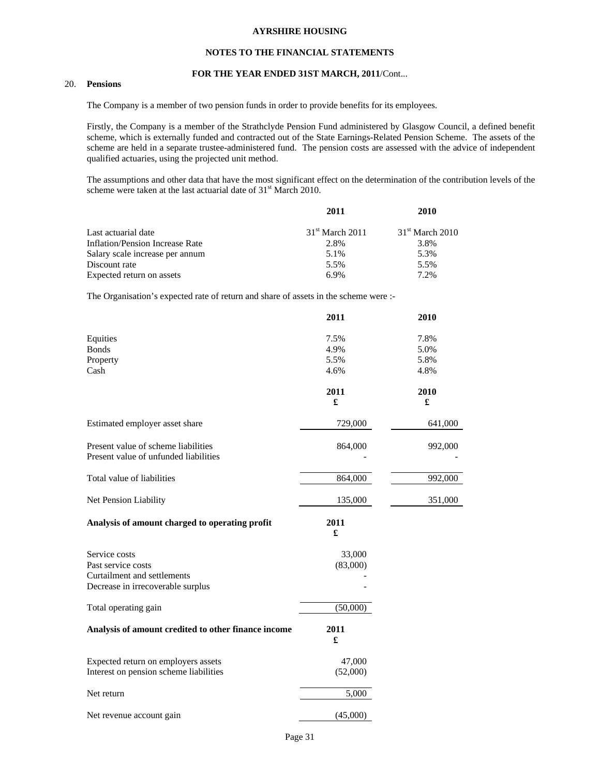### **NOTES TO THE FINANCIAL STATEMENTS**

### **FOR THE YEAR ENDED 31ST MARCH, 2011**/Cont...

#### 20. **Pensions**

The Company is a member of two pension funds in order to provide benefits for its employees.

 Firstly, the Company is a member of the Strathclyde Pension Fund administered by Glasgow Council, a defined benefit scheme, which is externally funded and contracted out of the State Earnings-Related Pension Scheme. The assets of the scheme are held in a separate trustee-administered fund. The pension costs are assessed with the advice of independent qualified actuaries, using the projected unit method.

 The assumptions and other data that have the most significant effect on the determination of the contribution levels of the scheme were taken at the last actuarial date of 31<sup>st</sup> March 2010.

|                                 | 2011              | 2010              |
|---------------------------------|-------------------|-------------------|
| Last actuarial date             | $31st$ March 2011 | $31st$ March 2010 |
| Inflation/Pension Increase Rate | 2.8%              | 3.8%              |
| Salary scale increase per annum | 5.1%              | 5.3%              |
| Discount rate                   | 5.5%              | 5.5%              |
| Expected return on assets       | 6.9%              | 7.2%              |

The Organisation's expected rate of return and share of assets in the scheme were :-

|                                                     | 2011     | 2010    |
|-----------------------------------------------------|----------|---------|
| Equities                                            | 7.5%     | 7.8%    |
| <b>Bonds</b>                                        | 4.9%     | 5.0%    |
| Property                                            | 5.5%     | 5.8%    |
| Cash                                                | 4.6%     | 4.8%    |
|                                                     | 2011     | 2010    |
|                                                     | £        | £       |
| Estimated employer asset share                      | 729,000  | 641,000 |
| Present value of scheme liabilities                 | 864,000  | 992,000 |
| Present value of unfunded liabilities               |          |         |
| Total value of liabilities                          | 864,000  | 992,000 |
| Net Pension Liability                               | 135,000  | 351,000 |
|                                                     |          |         |
| Analysis of amount charged to operating profit      | 2011     |         |
|                                                     |          |         |
| Service costs                                       | 33,000   |         |
| Past service costs                                  | (83,000) |         |
| Curtailment and settlements                         |          |         |
| Decrease in irrecoverable surplus                   |          |         |
| Total operating gain                                | (50,000) |         |
|                                                     |          |         |
| Analysis of amount credited to other finance income | 2011     |         |
|                                                     | £        |         |
| Expected return on employers assets                 | 47,000   |         |
| Interest on pension scheme liabilities              | (52,000) |         |
| Net return                                          | 5,000    |         |
| Net revenue account gain                            | (45,000) |         |
|                                                     |          |         |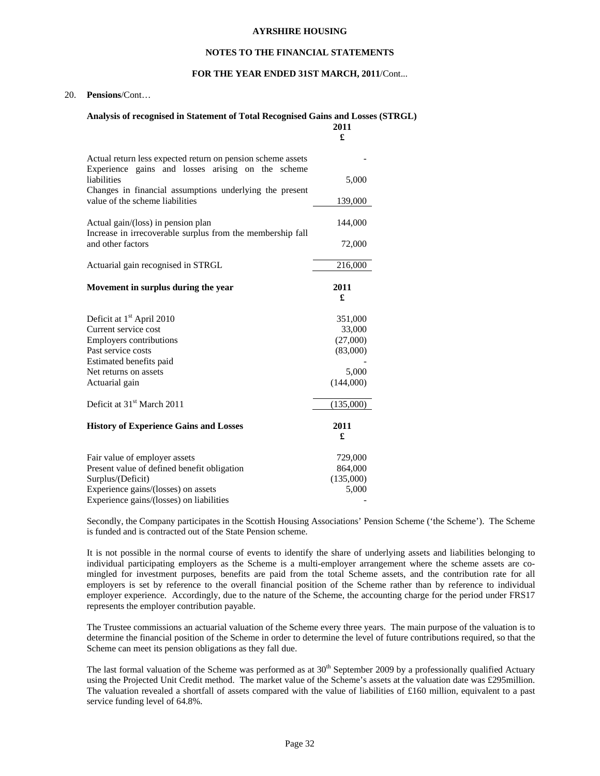#### **NOTES TO THE FINANCIAL STATEMENTS**

#### **FOR THE YEAR ENDED 31ST MARCH, 2011**/Cont...

**2011** 

### 20. **Pensions**/Cont…

### **Analysis of recognised in Statement of Total Recognised Gains and Losses (STRGL)**

|                                                                                            | £         |  |
|--------------------------------------------------------------------------------------------|-----------|--|
| Actual return less expected return on pension scheme assets                                |           |  |
| Experience gains and losses arising on the scheme<br>liabilities                           | 5,000     |  |
| Changes in financial assumptions underlying the present<br>value of the scheme liabilities | 139,000   |  |
| Actual gain/(loss) in pension plan                                                         | 144,000   |  |
| Increase in irrecoverable surplus from the membership fall<br>and other factors            | 72,000    |  |
| Actuarial gain recognised in STRGL                                                         | 216,000   |  |
| Movement in surplus during the year                                                        | 2011      |  |
|                                                                                            | £         |  |
| Deficit at 1 <sup>st</sup> April 2010                                                      | 351,000   |  |
| Current service cost                                                                       | 33,000    |  |
| <b>Employers contributions</b>                                                             | (27,000)  |  |
| Past service costs                                                                         | (83,000)  |  |
| Estimated benefits paid                                                                    |           |  |
| Net returns on assets                                                                      | 5,000     |  |
| Actuarial gain                                                                             | (144,000) |  |
| Deficit at 31 <sup>st</sup> March 2011                                                     | (135,000) |  |
| <b>History of Experience Gains and Losses</b>                                              | 2011      |  |
|                                                                                            | £         |  |
| Fair value of employer assets                                                              | 729,000   |  |
| Present value of defined benefit obligation                                                | 864,000   |  |
| Surplus/(Deficit)                                                                          | (135,000) |  |
| Experience gains/(losses) on assets                                                        | 5,000     |  |
| Experience gains/(losses) on liabilities                                                   |           |  |

 Secondly, the Company participates in the Scottish Housing Associations' Pension Scheme ('the Scheme'). The Scheme is funded and is contracted out of the State Pension scheme.

 It is not possible in the normal course of events to identify the share of underlying assets and liabilities belonging to individual participating employers as the Scheme is a multi-employer arrangement where the scheme assets are comingled for investment purposes, benefits are paid from the total Scheme assets, and the contribution rate for all employers is set by reference to the overall financial position of the Scheme rather than by reference to individual employer experience. Accordingly, due to the nature of the Scheme, the accounting charge for the period under FRS17 represents the employer contribution payable.

 The Trustee commissions an actuarial valuation of the Scheme every three years. The main purpose of the valuation is to determine the financial position of the Scheme in order to determine the level of future contributions required, so that the Scheme can meet its pension obligations as they fall due.

The last formal valuation of the Scheme was performed as at  $30<sup>th</sup>$  September 2009 by a professionally qualified Actuary using the Projected Unit Credit method. The market value of the Scheme's assets at the valuation date was £295million. The valuation revealed a shortfall of assets compared with the value of liabilities of £160 million, equivalent to a past service funding level of 64.8%.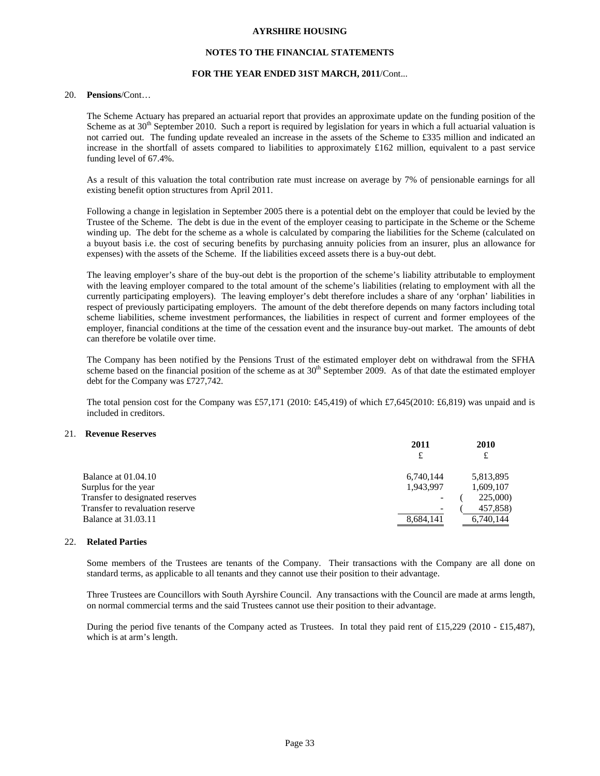### **NOTES TO THE FINANCIAL STATEMENTS**

### **FOR THE YEAR ENDED 31ST MARCH, 2011**/Cont...

### 20. **Pensions**/Cont…

 The Scheme Actuary has prepared an actuarial report that provides an approximate update on the funding position of the Scheme as at  $30<sup>th</sup>$  September 2010. Such a report is required by legislation for years in which a full actuarial valuation is not carried out. The funding update revealed an increase in the assets of the Scheme to £335 million and indicated an increase in the shortfall of assets compared to liabilities to approximately £162 million, equivalent to a past service funding level of 67.4%.

 As a result of this valuation the total contribution rate must increase on average by 7% of pensionable earnings for all existing benefit option structures from April 2011.

 Following a change in legislation in September 2005 there is a potential debt on the employer that could be levied by the Trustee of the Scheme. The debt is due in the event of the employer ceasing to participate in the Scheme or the Scheme winding up. The debt for the scheme as a whole is calculated by comparing the liabilities for the Scheme (calculated on a buyout basis i.e. the cost of securing benefits by purchasing annuity policies from an insurer, plus an allowance for expenses) with the assets of the Scheme. If the liabilities exceed assets there is a buy-out debt.

 The leaving employer's share of the buy-out debt is the proportion of the scheme's liability attributable to employment with the leaving employer compared to the total amount of the scheme's liabilities (relating to employment with all the currently participating employers). The leaving employer's debt therefore includes a share of any 'orphan' liabilities in respect of previously participating employers. The amount of the debt therefore depends on many factors including total scheme liabilities, scheme investment performances, the liabilities in respect of current and former employees of the employer, financial conditions at the time of the cessation event and the insurance buy-out market. The amounts of debt can therefore be volatile over time.

 The Company has been notified by the Pensions Trust of the estimated employer debt on withdrawal from the SFHA scheme based on the financial position of the scheme as at  $30<sup>th</sup>$  September 2009. As of that date the estimated employer debt for the Company was £727,742.

The total pension cost for the Company was £57,171 (2010: £45,419) of which £7,645(2010: £6,819) was unpaid and is included in creditors.

#### 21. **Revenue Reserves**

|                                 | 2011                     | 2010<br>£ |
|---------------------------------|--------------------------|-----------|
| Balance at $01.04.10$           | 6,740,144                | 5,813,895 |
| Surplus for the year            | 1,943,997                | 1,609,107 |
| Transfer to designated reserves | $\overline{\phantom{a}}$ | 225,000)  |
| Transfer to revaluation reserve | $\overline{\phantom{a}}$ | 457,858)  |
| Balance at 31.03.11             | 8,684,141                | 6,740,144 |
|                                 |                          |           |

#### 22. **Related Parties**

 Some members of the Trustees are tenants of the Company. Their transactions with the Company are all done on standard terms, as applicable to all tenants and they cannot use their position to their advantage.

 Three Trustees are Councillors with South Ayrshire Council. Any transactions with the Council are made at arms length, on normal commercial terms and the said Trustees cannot use their position to their advantage.

During the period five tenants of the Company acted as Trustees. In total they paid rent of £15,229 (2010 - £15,487), which is at arm's length.